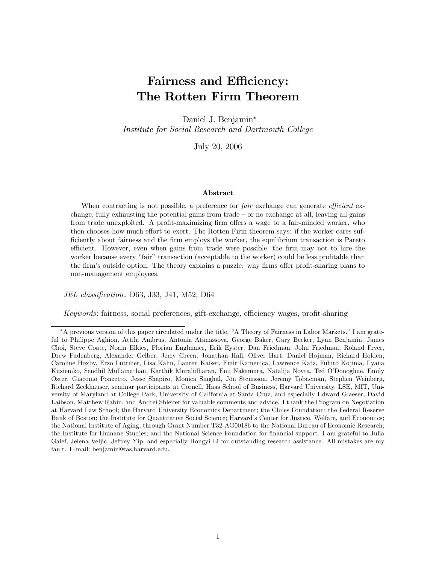# Fairness and Efficiency: The Rotten Firm Theorem

Daniel J. Benjamin<sup>∗</sup> Institute for Social Research and Dartmouth College

July 20, 2006

#### Abstract

When contracting is not possible, a preference for *fair* exchange can generate *efficient* exchange, fully exhausting the potential gains from trade — or no exchange at all, leaving all gains from trade unexploited. A profit-maximizing firm offers a wage to a fair-minded worker, who then chooses how much effort to exert. The Rotten Firm theorem says: if the worker cares sufficiently about fairness and the firm employs the worker, the equilibrium transaction is Pareto efficient. However, even when gains from trade were possible, the firm may not to hire the worker because every "fair" transaction (acceptable to the worker) could be less profitable than the firm's outside option. The theory explains a puzzle: why firms offer profit-sharing plans to non-management employees.

JEL classification: D63, J33, J41, M52, D64

Keywords: fairness, social preferences, gift-exchange, efficiency wages, profit-sharing

<sup>∗</sup>A previous version of this paper circulated under the title, "A Theory of Fairness in Labor Markets." I am grateful to Philippe Aghion, Attila Ambrus, Antonia Atanassova, George Baker, Gary Becker, Lynn Benjamin, James Choi, Steve Coate, Noam Elkies, Florian Englmaier, Erik Eyster, Dan Friedman, John Friedman, Roland Fryer, Drew Fudenberg, Alexander Gelber, Jerry Green, Jonathan Hall, Oliver Hart, Daniel Hojman, Richard Holden, Caroline Hoxby, Erzo Luttmer, Lisa Kahn, Lauren Kaiser, Emir Kamenica, Lawrence Katz, Fuhito Kojima, Ilyana Kuziemko, Sendhil Mullainathan, Karthik Muralidharan, Emi Nakamura, Natalija Novta, Ted O'Donoghue, Emily Oster, Giacomo Ponzetto, Jesse Shapiro, Monica Singhal, Jón Steinsson, Jeremy Tobacman, Stephen Weinberg, Richard Zeckhauser, seminar participants at Cornell, Haas School of Business, Harvard University, LSE, MIT, University of Maryland at College Park, University of California at Santa Cruz, and especially Edward Glaeser, David Laibson, Matthew Rabin, and Andrei Shleifer for valuable comments and advice. I thank the Program on Negotiation at Harvard Law School; the Harvard University Economics Department; the Chiles Foundation; the Federal Reserve Bank of Boston; the Institute for Quantitative Social Science; Harvard's Center for Justice, Welfare, and Economics; the National Institute of Aging, through Grant Number T32-AG00186 to the National Bureau of Economic Research; the Institute for Humane Studies; and the National Science Foundation for financial support. I am grateful to Julia Galef, Jelena Veljic, Jeffrey Yip, and especially Hongyi Li for outstanding research assistance. All mistakes are my fault. E-mail: benjamin@fas.harvard.edu.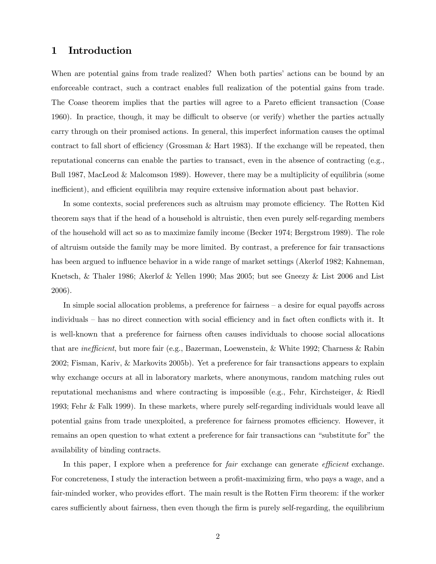# 1 Introduction

When are potential gains from trade realized? When both parties' actions can be bound by an enforceable contract, such a contract enables full realization of the potential gains from trade. The Coase theorem implies that the parties will agree to a Pareto efficient transaction (Coase 1960). In practice, though, it may be difficult to observe (or verify) whether the parties actually carry through on their promised actions. In general, this imperfect information causes the optimal contract to fall short of efficiency (Grossman & Hart 1983). If the exchange will be repeated, then reputational concerns can enable the parties to transact, even in the absence of contracting (e.g., Bull 1987, MacLeod & Malcomson 1989). However, there may be a multiplicity of equilibria (some inefficient), and efficient equilibria may require extensive information about past behavior.

In some contexts, social preferences such as altruism may promote efficiency. The Rotten Kid theorem says that if the head of a household is altruistic, then even purely self-regarding members of the household will act so as to maximize family income (Becker 1974; Bergstrom 1989). The role of altruism outside the family may be more limited. By contrast, a preference for fair transactions has been argued to influence behavior in a wide range of market settings (Akerlof 1982; Kahneman, Knetsch, & Thaler 1986; Akerlof & Yellen 1990; Mas 2005; but see Gneezy & List 2006 and List 2006).

In simple social allocation problems, a preference for fairness — a desire for equal payoffs across individuals — has no direct connection with social efficiency and in fact often conflicts with it. It is well-known that a preference for fairness often causes individuals to choose social allocations that are inefficient, but more fair (e.g., Bazerman, Loewenstein, & White 1992; Charness & Rabin 2002; Fisman, Kariv, & Markovits 2005b). Yet a preference for fair transactions appears to explain why exchange occurs at all in laboratory markets, where anonymous, random matching rules out reputational mechanisms and where contracting is impossible (e.g., Fehr, Kirchsteiger, & Riedl 1993; Fehr & Falk 1999). In these markets, where purely self-regarding individuals would leave all potential gains from trade unexploited, a preference for fairness promotes efficiency. However, it remains an open question to what extent a preference for fair transactions can "substitute for" the availability of binding contracts.

In this paper, I explore when a preference for *fair* exchange can generate *efficient* exchange. For concreteness, I study the interaction between a profit-maximizing firm, who pays a wage, and a fair-minded worker, who provides effort. The main result is the Rotten Firm theorem: if the worker cares sufficiently about fairness, then even though the firm is purely self-regarding, the equilibrium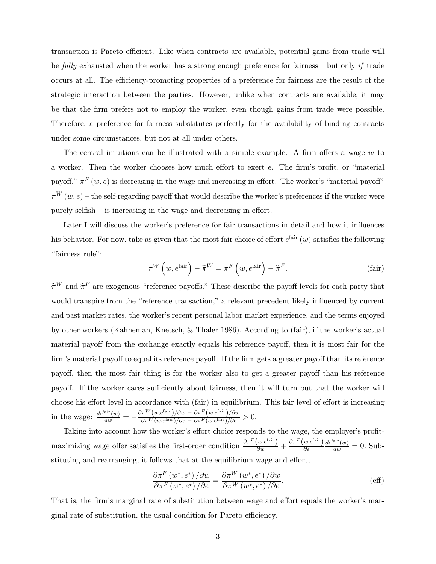transaction is Pareto efficient. Like when contracts are available, potential gains from trade will be fully exhausted when the worker has a strong enough preference for fairness — but only if trade occurs at all. The efficiency-promoting properties of a preference for fairness are the result of the strategic interaction between the parties. However, unlike when contracts are available, it may be that the firm prefers not to employ the worker, even though gains from trade were possible. Therefore, a preference for fairness substitutes perfectly for the availability of binding contracts under some circumstances, but not at all under others.

The central intuitions can be illustrated with a simple example. A firm offers a wage w to a worker. Then the worker chooses how much effort to exert e. The firm's profit, or "material payoff,"  $\pi^F(w, e)$  is decreasing in the wage and increasing in effort. The worker's "material payoff"  $\pi^{W}(w, e)$  – the self-regarding payoff that would describe the worker's preferences if the worker were purely selfish — is increasing in the wage and decreasing in effort.

Later I will discuss the worker's preference for fair transactions in detail and how it influences his behavior. For now, take as given that the most fair choice of effort  $e^{fair}(w)$  satisfies the following "fairness rule":

$$
\pi^{W}\left(w, e^{\text{fair}}\right) - \widehat{\pi}^{W} = \pi^{F}\left(w, e^{\text{fair}}\right) - \widehat{\pi}^{F}.
$$
\n(fair)

 $\widehat{\pi}^W$  and  $\widehat{\pi}^F$  are exogenous "reference payoffs." These describe the payoff levels for each party that would transpire from the "reference transaction," a relevant precedent likely influenced by current and past market rates, the worker's recent personal labor market experience, and the terms enjoyed by other workers (Kahneman, Knetsch, & Thaler 1986). According to (fair), if the worker's actual material payoff from the exchange exactly equals his reference payoff, then it is most fair for the firm's material payoff to equal its reference payoff. If the firm gets a greater payoff than its reference payoff, then the most fair thing is for the worker also to get a greater payoff than his reference payoff. If the worker cares sufficiently about fairness, then it will turn out that the worker will choose his effort level in accordance with (fair) in equilibrium. This fair level of effort is increasing in the wage:  $\frac{de^{\text{fair}}(w)}{dw} = -\frac{\partial \pi^W(w, e^{\text{fair}})/\partial w - \partial \pi^F(w, e^{\text{fair}})/\partial w}{\partial \pi^W(w, e^{\text{fair}})/\partial e - \partial \pi^F(w, e^{\text{fair}})/\partial e} > 0.$ 

Taking into account how the worker's effort choice responds to the wage, the employer's profitmaximizing wage offer satisfies the first-order condition  $\frac{\partial \pi^F(w, e^{\text{fair}})}{\partial w} + \frac{\partial \pi^F(w, e^{\text{fair}})}{\partial e}$ ∂e  $\frac{de^{\text{fair}}(w)}{dw} = 0.$  Substituting and rearranging, it follows that at the equilibrium wage and effort,

$$
\frac{\partial \pi^F (w^*, e^*) / \partial w}{\partial \pi^F (w^*, e^*) / \partial e} = \frac{\partial \pi^W (w^*, e^*) / \partial w}{\partial \pi^W (w^*, e^*) / \partial e}.
$$
\n(eff)

That is, the firm's marginal rate of substitution between wage and effort equals the worker's marginal rate of substitution, the usual condition for Pareto efficiency.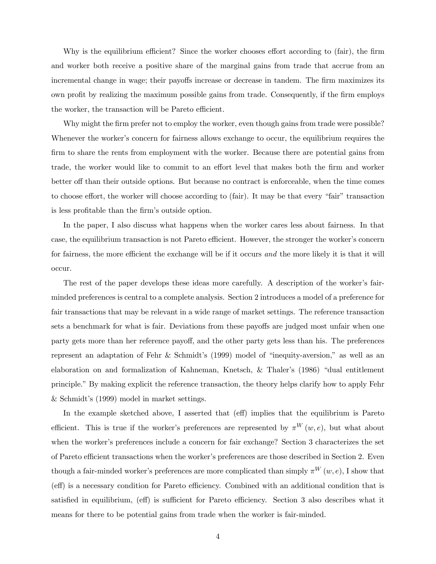Why is the equilibrium efficient? Since the worker chooses effort according to (fair), the firm and worker both receive a positive share of the marginal gains from trade that accrue from an incremental change in wage; their payoffs increase or decrease in tandem. The firm maximizes its own profit by realizing the maximum possible gains from trade. Consequently, if the firm employs the worker, the transaction will be Pareto efficient.

Why might the firm prefer not to employ the worker, even though gains from trade were possible? Whenever the worker's concern for fairness allows exchange to occur, the equilibrium requires the firm to share the rents from employment with the worker. Because there are potential gains from trade, the worker would like to commit to an effort level that makes both the firm and worker better off than their outside options. But because no contract is enforceable, when the time comes to choose effort, the worker will choose according to (fair). It may be that every "fair" transaction is less profitable than the firm's outside option.

In the paper, I also discuss what happens when the worker cares less about fairness. In that case, the equilibrium transaction is not Pareto efficient. However, the stronger the worker's concern for fairness, the more efficient the exchange will be if it occurs and the more likely it is that it will occur.

The rest of the paper develops these ideas more carefully. A description of the worker's fairminded preferences is central to a complete analysis. Section 2 introduces a model of a preference for fair transactions that may be relevant in a wide range of market settings. The reference transaction sets a benchmark for what is fair. Deviations from these payoffs are judged most unfair when one party gets more than her reference payoff, and the other party gets less than his. The preferences represent an adaptation of Fehr & Schmidt's (1999) model of "inequity-aversion," as well as an elaboration on and formalization of Kahneman, Knetsch, & Thaler's (1986) "dual entitlement principle." By making explicit the reference transaction, the theory helps clarify how to apply Fehr & Schmidt's (1999) model in market settings.

In the example sketched above, I asserted that (eff) implies that the equilibrium is Pareto efficient. This is true if the worker's preferences are represented by  $\pi^{W}(w, e)$ , but what about when the worker's preferences include a concern for fair exchange? Section 3 characterizes the set of Pareto efficient transactions when the worker's preferences are those described in Section 2. Even though a fair-minded worker's preferences are more complicated than simply  $\pi^{W}(w, e)$ , I show that (eff) is a necessary condition for Pareto efficiency. Combined with an additional condition that is satisfied in equilibrium, (eff) is sufficient for Pareto efficiency. Section 3 also describes what it means for there to be potential gains from trade when the worker is fair-minded.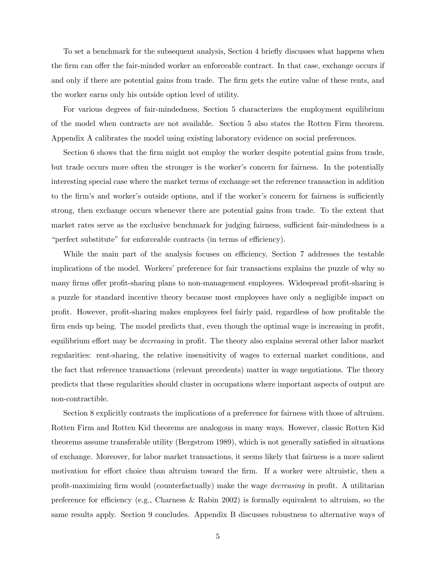To set a benchmark for the subsequent analysis, Section 4 briefly discusses what happens when the firm can offer the fair-minded worker an enforceable contract. In that case, exchange occurs if and only if there are potential gains from trade. The firm gets the entire value of these rents, and the worker earns only his outside option level of utility.

For various degrees of fair-mindedness, Section 5 characterizes the employment equilibrium of the model when contracts are not available. Section 5 also states the Rotten Firm theorem. Appendix A calibrates the model using existing laboratory evidence on social preferences.

Section 6 shows that the firm might not employ the worker despite potential gains from trade, but trade occurs more often the stronger is the worker's concern for fairness. In the potentially interesting special case where the market terms of exchange set the reference transaction in addition to the firm's and worker's outside options, and if the worker's concern for fairness is sufficiently strong, then exchange occurs whenever there are potential gains from trade. To the extent that market rates serve as the exclusive benchmark for judging fairness, sufficient fair-mindedness is a "perfect substitute" for enforceable contracts (in terms of efficiency).

While the main part of the analysis focuses on efficiency, Section 7 addresses the testable implications of the model. Workers' preference for fair transactions explains the puzzle of why so many firms offer profit-sharing plans to non-management employees. Widespread profit-sharing is a puzzle for standard incentive theory because most employees have only a negligible impact on profit. However, profit-sharing makes employees feel fairly paid, regardless of how profitable the firm ends up being. The model predicts that, even though the optimal wage is increasing in profit, equilibrium effort may be decreasing in profit. The theory also explains several other labor market regularities: rent-sharing, the relative insensitivity of wages to external market conditions, and the fact that reference transactions (relevant precedents) matter in wage negotiations. The theory predicts that these regularities should cluster in occupations where important aspects of output are non-contractible.

Section 8 explicitly contrasts the implications of a preference for fairness with those of altruism. Rotten Firm and Rotten Kid theorems are analogous in many ways. However, classic Rotten Kid theorems assume transferable utility (Bergstrom 1989), which is not generally satisfied in situations of exchange. Moreover, for labor market transactions, it seems likely that fairness is a more salient motivation for effort choice than altruism toward the firm. If a worker were altruistic, then a profit-maximizing firm would (counterfactually) make the wage decreasing in profit. A utilitarian preference for efficiency (e.g., Charness & Rabin 2002) is formally equivalent to altruism, so the same results apply. Section 9 concludes. Appendix B discusses robustness to alternative ways of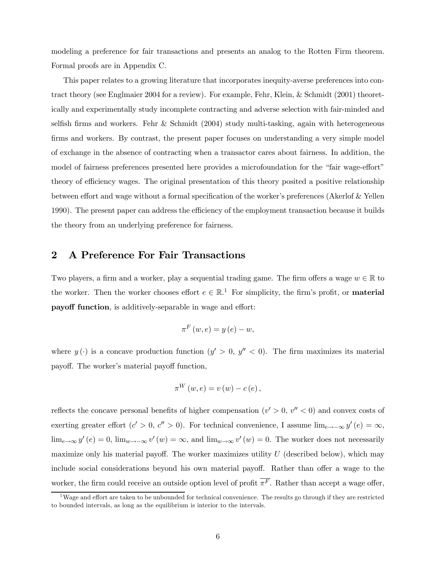modeling a preference for fair transactions and presents an analog to the Rotten Firm theorem. Formal proofs are in Appendix C.

This paper relates to a growing literature that incorporates inequity-averse preferences into contract theory (see Englmaier 2004 for a review). For example, Fehr, Klein, & Schmidt (2001) theoretically and experimentally study incomplete contracting and adverse selection with fair-minded and selfish firms and workers. Fehr & Schmidt (2004) study multi-tasking, again with heterogeneous firms and workers. By contrast, the present paper focuses on understanding a very simple model of exchange in the absence of contracting when a transactor cares about fairness. In addition, the model of fairness preferences presented here provides a microfoundation for the "fair wage-effort" theory of efficiency wages. The original presentation of this theory posited a positive relationship between effort and wage without a formal specification of the worker's preferences (Akerlof & Yellen 1990). The present paper can address the efficiency of the employment transaction because it builds the theory from an underlying preference for fairness.

## 2 A Preference For Fair Transactions

Two players, a firm and a worker, play a sequential trading game. The firm offers a wage  $w \in \mathbb{R}$  to the worker. Then the worker chooses effort  $e \in \mathbb{R}^{1}$ . For simplicity, the firm's profit, or **material** payoff function, is additively-separable in wage and effort:

$$
\pi^{F}\left(w,e\right)=y\left(e\right)-w,
$$

where  $y(\cdot)$  is a concave production function  $(y' > 0, y'' < 0)$ . The firm maximizes its material payoff. The worker's material payoff function,

$$
\pi^{W}(w,e) = v(w) - c(e),
$$

reflects the concave personal benefits of higher compensation  $(v' > 0, v'' < 0)$  and convex costs of exerting greater effort (c' > 0, c'' > 0). For technical convenience, I assume  $\lim_{e\to-\infty} y'(e) = \infty$ ,  $\lim_{e\to\infty}y'(e)=0$ ,  $\lim_{w\to-\infty}v'(w)=\infty$ , and  $\lim_{w\to\infty}v'(w)=0$ . The worker does not necessarily maximize only his material payoff. The worker maximizes utility  $U$  (described below), which may include social considerations beyond his own material payoff. Rather than offer a wage to the worker, the firm could receive an outside option level of profit  $\overline{\pi^F}$ . Rather than accept a wage offer,

<sup>&</sup>lt;sup>1</sup>Wage and effort are taken to be unbounded for technical convenience. The results go through if they are restricted to bounded intervals, as long as the equilibrium is interior to the intervals.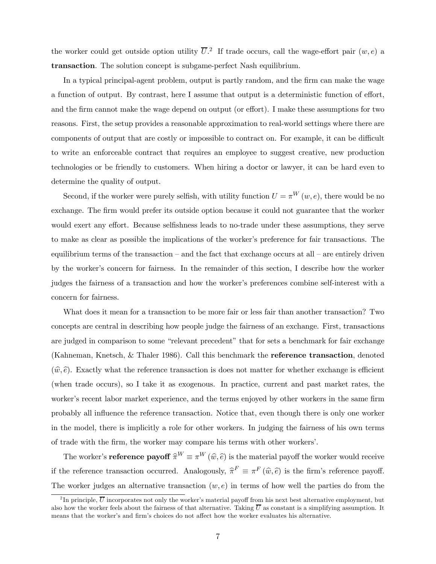the worker could get outside option utility  $\overline{U}$ .<sup>2</sup> If trade occurs, call the wage-effort pair  $(w, e)$  a transaction. The solution concept is subgame-perfect Nash equilibrium.

In a typical principal-agent problem, output is partly random, and the firm can make the wage a function of output. By contrast, here I assume that output is a deterministic function of effort, and the firm cannot make the wage depend on output (or effort). I make these assumptions for two reasons. First, the setup provides a reasonable approximation to real-world settings where there are components of output that are costly or impossible to contract on. For example, it can be difficult to write an enforceable contract that requires an employee to suggest creative, new production technologies or be friendly to customers. When hiring a doctor or lawyer, it can be hard even to determine the quality of output.

Second, if the worker were purely selfish, with utility function  $U = \pi^{W}(w, e)$ , there would be no exchange. The firm would prefer its outside option because it could not guarantee that the worker would exert any effort. Because selfishness leads to no-trade under these assumptions, they serve to make as clear as possible the implications of the worker's preference for fair transactions. The equilibrium terms of the transaction — and the fact that exchange occurs at all — are entirely driven by the worker's concern for fairness. In the remainder of this section, I describe how the worker judges the fairness of a transaction and how the worker's preferences combine self-interest with a concern for fairness.

What does it mean for a transaction to be more fair or less fair than another transaction? Two concepts are central in describing how people judge the fairness of an exchange. First, transactions are judged in comparison to some "relevant precedent" that for sets a benchmark for fair exchange (Kahneman, Knetsch, & Thaler 1986). Call this benchmark the reference transaction, denoted  $(\hat{w}, \hat{e})$ . Exactly what the reference transaction is does not matter for whether exchange is efficient (when trade occurs), so I take it as exogenous. In practice, current and past market rates, the worker's recent labor market experience, and the terms enjoyed by other workers in the same firm probably all influence the reference transaction. Notice that, even though there is only one worker in the model, there is implicitly a role for other workers. In judging the fairness of his own terms of trade with the firm, the worker may compare his terms with other workers'.

The worker's **reference payoff**  $\hat{\pi}^W \equiv \pi^W (\hat{w}, \hat{e})$  is the material payoff the worker would receive if the reference transaction occurred. Analogously,  $\hat{\pi}^F \equiv \pi^F (\hat{w}, \hat{e})$  is the firm's reference payoff. The worker judges an alternative transaction  $(w, e)$  in terms of how well the parties do from the

<sup>&</sup>lt;sup>2</sup>In principle,  $\overline{U}$  incorporates not only the worker's material payoff from his next best alternative employment, but also how the worker feels about the fairness of that alternative. Taking  $\overline{U}$  as constant is a simplifying assumption. It means that the worker's and firm's choices do not affect how the worker evaluates his alternative.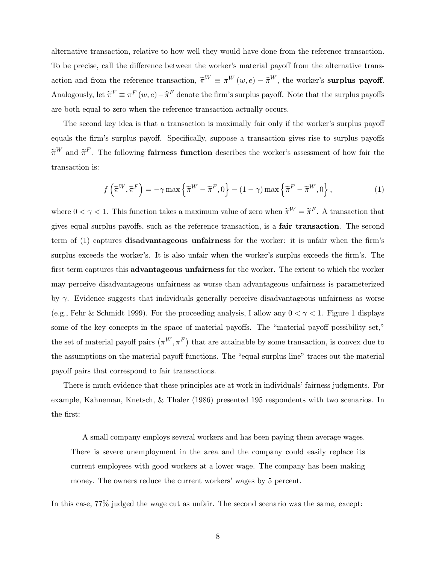alternative transaction, relative to how well they would have done from the reference transaction. To be precise, call the difference between the worker's material payoff from the alternative transaction and from the reference transaction,  $\widetilde{\pi}^W \equiv \pi^W(w, e) - \widehat{\pi}^W$ , the worker's surplus payoff. Analogously, let  $\tilde{\pi}^F \equiv \pi^F(w, e) - \hat{\pi}^F$  denote the firm's surplus payoff. Note that the surplus payoffs are both equal to zero when the reference transaction actually occurs.

The second key idea is that a transaction is maximally fair only if the worker's surplus payoff equals the firm's surplus payoff. Specifically, suppose a transaction gives rise to surplus payoffs  $\widetilde{\pi}^W$  and  $\widetilde{\pi}^F$ . The following **fairness function** describes the worker's assessment of how fair the transaction is:

$$
f\left(\tilde{\pi}^W, \tilde{\pi}^F\right) = -\gamma \max\left\{\tilde{\pi}^W - \tilde{\pi}^F, 0\right\} - (1 - \gamma) \max\left\{\tilde{\pi}^F - \tilde{\pi}^W, 0\right\},\tag{1}
$$

where  $0 < \gamma < 1$ . This function takes a maximum value of zero when  $\tilde{\pi}^W = \tilde{\pi}^F$ . A transaction that gives equal surplus payoffs, such as the reference transaction, is a fair transaction. The second term of (1) captures disadvantageous unfairness for the worker: it is unfair when the firm's surplus exceeds the worker's. It is also unfair when the worker's surplus exceeds the firm's. The first term captures this **advantageous unfairness** for the worker. The extent to which the worker may perceive disadvantageous unfairness as worse than advantageous unfairness is parameterized by γ. Evidence suggests that individuals generally perceive disadvantageous unfairness as worse (e.g., Fehr & Schmidt 1999). For the proceeding analysis, I allow any  $0 < \gamma < 1$ . Figure 1 displays some of the key concepts in the space of material payoffs. The "material payoff possibility set," the set of material payoff pairs  $(\pi^W, \pi^F)$  that are attainable by some transaction, is convex due to the assumptions on the material payoff functions. The "equal-surplus line" traces out the material payoff pairs that correspond to fair transactions.

There is much evidence that these principles are at work in individuals' fairness judgments. For example, Kahneman, Knetsch, & Thaler (1986) presented 195 respondents with two scenarios. In the first:

A small company employs several workers and has been paying them average wages. There is severe unemployment in the area and the company could easily replace its current employees with good workers at a lower wage. The company has been making money. The owners reduce the current workers' wages by 5 percent.

In this case, 77% judged the wage cut as unfair. The second scenario was the same, except: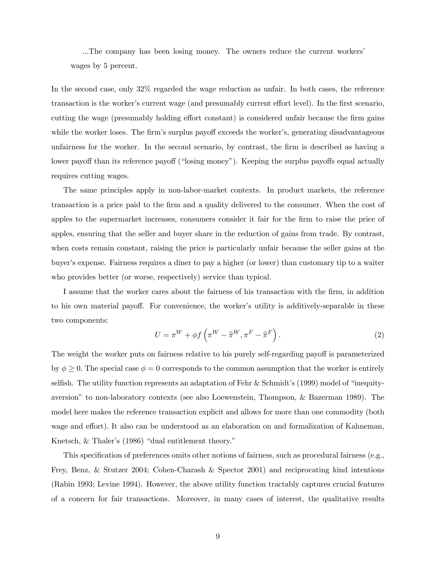...The company has been losing money. The owners reduce the current workers' wages by 5 percent.

In the second case, only 32% regarded the wage reduction as unfair. In both cases, the reference transaction is the worker's current wage (and presumably current effort level). In the first scenario, cutting the wage (presumably holding effort constant) is considered unfair because the firm gains while the worker loses. The firm's surplus payoff exceeds the worker's, generating disadvantageous unfairness for the worker. In the second scenario, by contrast, the firm is described as having a lower payoff than its reference payoff ("losing money"). Keeping the surplus payoffs equal actually requires cutting wages.

The same principles apply in non-labor-market contexts. In product markets, the reference transaction is a price paid to the firm and a quality delivered to the consumer. When the cost of apples to the supermarket increases, consumers consider it fair for the firm to raise the price of apples, ensuring that the seller and buyer share in the reduction of gains from trade. By contrast, when costs remain constant, raising the price is particularly unfair because the seller gains at the buyer's expense. Fairness requires a diner to pay a higher (or lower) than customary tip to a waiter who provides better (or worse, respectively) service than typical.

I assume that the worker cares about the fairness of his transaction with the firm, in addition to his own material payoff. For convenience, the worker's utility is additively-separable in these two components:

$$
U = \pi^W + \phi f\left(\pi^W - \hat{\pi}^W, \pi^F - \hat{\pi}^F\right). \tag{2}
$$

The weight the worker puts on fairness relative to his purely self-regarding payoff is parameterized by  $\phi \geq 0$ . The special case  $\phi = 0$  corresponds to the common assumption that the worker is entirely selfish. The utility function represents an adaptation of Fehr & Schmidt's (1999) model of "inequityaversion" to non-laboratory contexts (see also Loewenstein, Thompson, & Bazerman 1989). The model here makes the reference transaction explicit and allows for more than one commodity (both wage and effort). It also can be understood as an elaboration on and formalization of Kahneman, Knetsch, & Thaler's (1986) "dual entitlement theory."

This specification of preferences omits other notions of fairness, such as procedural fairness (e.g., Frey, Benz, & Stutzer 2004; Cohen-Charash & Spector 2001) and reciprocating kind intentions (Rabin 1993; Levine 1994). However, the above utility function tractably captures crucial features of a concern for fair transactions. Moreover, in many cases of interest, the qualitative results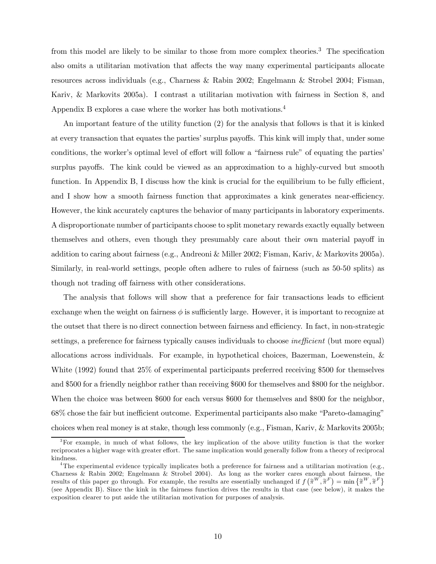from this model are likely to be similar to those from more complex theories.<sup>3</sup> The specification also omits a utilitarian motivation that affects the way many experimental participants allocate resources across individuals (e.g., Charness & Rabin 2002; Engelmann & Strobel 2004; Fisman, Kariv, & Markovits 2005a). I contrast a utilitarian motivation with fairness in Section 8, and Appendix B explores a case where the worker has both motivations.4

An important feature of the utility function (2) for the analysis that follows is that it is kinked at every transaction that equates the parties' surplus payoffs. This kink will imply that, under some conditions, the worker's optimal level of effort will follow a "fairness rule" of equating the parties' surplus payoffs. The kink could be viewed as an approximation to a highly-curved but smooth function. In Appendix B, I discuss how the kink is crucial for the equilibrium to be fully efficient, and I show how a smooth fairness function that approximates a kink generates near-efficiency. However, the kink accurately captures the behavior of many participants in laboratory experiments. A disproportionate number of participants choose to split monetary rewards exactly equally between themselves and others, even though they presumably care about their own material payoff in addition to caring about fairness (e.g., Andreoni & Miller 2002; Fisman, Kariv, & Markovits 2005a). Similarly, in real-world settings, people often adhere to rules of fairness (such as 50-50 splits) as though not trading off fairness with other considerations.

The analysis that follows will show that a preference for fair transactions leads to efficient exchange when the weight on fairness  $\phi$  is sufficiently large. However, it is important to recognize at the outset that there is no direct connection between fairness and efficiency. In fact, in non-strategic settings, a preference for fairness typically causes individuals to choose *inefficient* (but more equal) allocations across individuals. For example, in hypothetical choices, Bazerman, Loewenstein, & White (1992) found that 25% of experimental participants preferred receiving \$500 for themselves and \$500 for a friendly neighbor rather than receiving \$600 for themselves and \$800 for the neighbor. When the choice was between \$600 for each versus \$600 for themselves and \$800 for the neighbor, 68% chose the fair but inefficient outcome. Experimental participants also make "Pareto-damaging" choices when real money is at stake, though less commonly (e.g., Fisman, Kariv, & Markovits 2005b;

<sup>&</sup>lt;sup>3</sup>For example, in much of what follows, the key implication of the above utility function is that the worker reciprocates a higher wage with greater effort. The same implication would generally follow from a theory of reciprocal kindness.

<sup>&</sup>lt;sup>4</sup>The experimental evidence typically implicates both a preference for fairness and a utilitarian motivation (e.g., Charness & Rabin 2002; Engelmann & Strobel 2004). As long as the worker cares enough about fairness, the results of this paper go through. For example, the results are essentially unchanged if  $f\left(\tilde{\pi}^W, \tilde{\pi}^F\right) = \min \left\{ \tilde{\pi}^W, \tilde{\pi}^F \right\}$ (see Appendix B). Since the kink in the fairness function drives the results in that case (see below), it makes the exposition clearer to put aside the utilitarian motivation for purposes of analysis.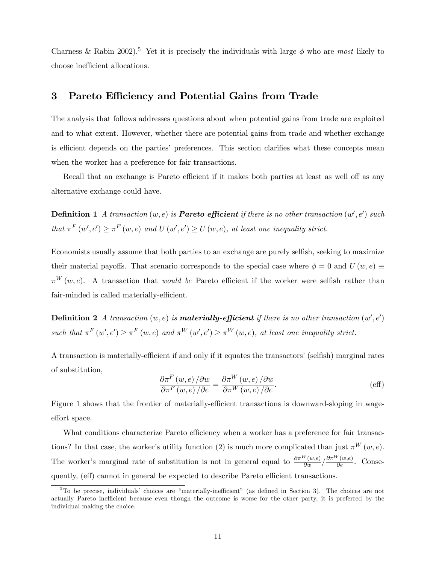Charness & Rabin 2002).<sup>5</sup> Yet it is precisely the individuals with large  $\phi$  who are most likely to choose inefficient allocations.

## 3 Pareto Efficiency and Potential Gains from Trade

The analysis that follows addresses questions about when potential gains from trade are exploited and to what extent. However, whether there are potential gains from trade and whether exchange is efficient depends on the parties' preferences. This section clarifies what these concepts mean when the worker has a preference for fair transactions.

Recall that an exchange is Pareto efficient if it makes both parties at least as well off as any alternative exchange could have.

**Definition 1** A transaction  $(w, e)$  is **Pareto efficient** if there is no other transaction  $(w', e')$  such that  $\pi^F(w', e') \geq \pi^F(w, e)$  and  $U(w', e') \geq U(w, e)$ , at least one inequality strict.

Economists usually assume that both parties to an exchange are purely selfish, seeking to maximize their material payoffs. That scenario corresponds to the special case where  $\phi = 0$  and  $U(w, e) \equiv$  $\pi^{W}(w, e)$ . A transaction that *would be* Pareto efficient if the worker were selfish rather than fair-minded is called materially-efficient.

**Definition 2** A transaction  $(w, e)$  is **materially-efficient** if there is no other transaction  $(w', e')$ such that  $\pi^F(w', e') \ge \pi^F(w, e)$  and  $\pi^W(w', e') \ge \pi^W(w, e)$ , at least one inequality strict.

A transaction is materially-efficient if and only if it equates the transactors' (selfish) marginal rates of substitution,

$$
\frac{\partial \pi^{F}(w,e)}{\partial \pi^{F}(w,e)} / \partial w = \frac{\partial \pi^{W}(w,e)}{\partial \pi^{W}(w,e)} / \partial w \tag{eff}
$$

Figure 1 shows that the frontier of materially-efficient transactions is downward-sloping in wageeffort space.

What conditions characterize Pareto efficiency when a worker has a preference for fair transactions? In that case, the worker's utility function (2) is much more complicated than just  $\pi^W(w, e)$ . The worker's marginal rate of substitution is not in general equal to  $\frac{\partial \pi^W(w,e)}{\partial w} / \frac{\partial \pi^W(w,e)}{\partial e}$ . Consequently, (eff) cannot in general be expected to describe Pareto efficient transactions.

 $5T_0$  be precise, individuals' choices are "materially-inefficient" (as defined in Section 3). The choices are not actually Pareto inefficient because even though the outcome is worse for the other party, it is preferred by the individual making the choice.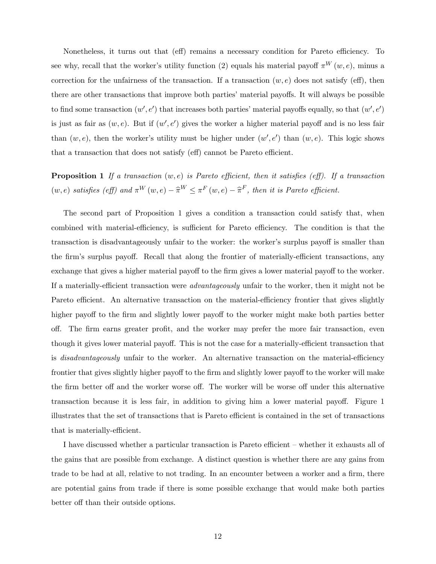Nonetheless, it turns out that (eff) remains a necessary condition for Pareto efficiency. To see why, recall that the worker's utility function (2) equals his material payoff  $\pi^{W}(w, e)$ , minus a correction for the unfairness of the transaction. If a transaction  $(w, e)$  does not satisfy (eff), then there are other transactions that improve both parties' material payoffs. It will always be possible to find some transaction  $(w', e')$  that increases both parties' material payoffs equally, so that  $(w', e')$ is just as fair as  $(w, e)$ . But if  $(w', e')$  gives the worker a higher material payoff and is no less fair than  $(w, e)$ , then the worker's utility must be higher under  $(w', e')$  than  $(w, e)$ . This logic shows that a transaction that does not satisfy (eff) cannot be Pareto efficient.

**Proposition 1** If a transaction  $(w, e)$  is Pareto efficient, then it satisfies (eff). If a transaction  $(w, e)$  satisfies (eff) and  $\pi^W(w, e) - \hat{\pi}^W \leq \pi^F(w, e) - \hat{\pi}^F$ , then it is Pareto efficient.

The second part of Proposition 1 gives a condition a transaction could satisfy that, when combined with material-efficiency, is sufficient for Pareto efficiency. The condition is that the transaction is disadvantageously unfair to the worker: the worker's surplus payoff is smaller than the firm's surplus payoff. Recall that along the frontier of materially-efficient transactions, any exchange that gives a higher material payoff to the firm gives a lower material payoff to the worker. If a materially-efficient transaction were advantageously unfair to the worker, then it might not be Pareto efficient. An alternative transaction on the material-efficiency frontier that gives slightly higher payoff to the firm and slightly lower payoff to the worker might make both parties better off. The firm earns greater profit, and the worker may prefer the more fair transaction, even though it gives lower material payoff. This is not the case for a materially-efficient transaction that is disadvantageously unfair to the worker. An alternative transaction on the material-efficiency frontier that gives slightly higher payoff to the firm and slightly lower payoff to the worker will make the firm better off and the worker worse off. The worker will be worse off under this alternative transaction because it is less fair, in addition to giving him a lower material payoff. Figure 1 illustrates that the set of transactions that is Pareto efficient is contained in the set of transactions that is materially-efficient.

I have discussed whether a particular transaction is Pareto efficient — whether it exhausts all of the gains that are possible from exchange. A distinct question is whether there are any gains from trade to be had at all, relative to not trading. In an encounter between a worker and a firm, there are potential gains from trade if there is some possible exchange that would make both parties better off than their outside options.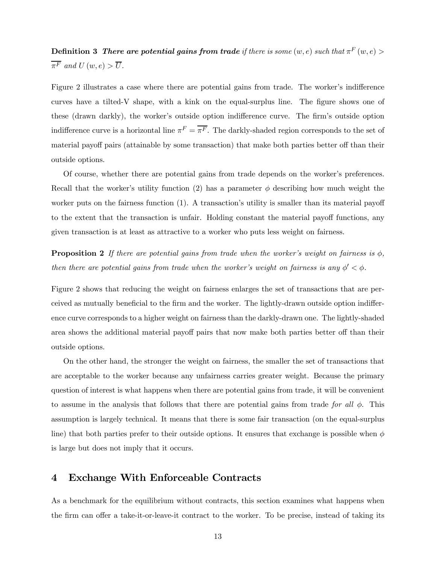**Definition 3** There are potential gains from trade if there is some  $(w, e)$  such that  $\pi^F(w, e)$  $\overline{\pi^F}$  and  $U(w, e) > \overline{U}$ .

Figure 2 illustrates a case where there are potential gains from trade. The worker's indifference curves have a tilted-V shape, with a kink on the equal-surplus line. The figure shows one of these (drawn darkly), the worker's outside option indifference curve. The firm's outside option indifference curve is a horizontal line  $\pi^F = \overline{\pi^F}$ . The darkly-shaded region corresponds to the set of material payoff pairs (attainable by some transaction) that make both parties better off than their outside options.

Of course, whether there are potential gains from trade depends on the worker's preferences. Recall that the worker's utility function (2) has a parameter  $\phi$  describing how much weight the worker puts on the fairness function (1). A transaction's utility is smaller than its material payoff to the extent that the transaction is unfair. Holding constant the material payoff functions, any given transaction is at least as attractive to a worker who puts less weight on fairness.

**Proposition 2** If there are potential gains from trade when the worker's weight on fairness is  $\phi$ , then there are potential gains from trade when the worker's weight on fairness is any  $\phi' < \phi$ .

Figure 2 shows that reducing the weight on fairness enlarges the set of transactions that are perceived as mutually beneficial to the firm and the worker. The lightly-drawn outside option indifference curve corresponds to a higher weight on fairness than the darkly-drawn one. The lightly-shaded area shows the additional material payoff pairs that now make both parties better off than their outside options.

On the other hand, the stronger the weight on fairness, the smaller the set of transactions that are acceptable to the worker because any unfairness carries greater weight. Because the primary question of interest is what happens when there are potential gains from trade, it will be convenient to assume in the analysis that follows that there are potential gains from trade for all  $\phi$ . This assumption is largely technical. It means that there is some fair transaction (on the equal-surplus line) that both parties prefer to their outside options. It ensures that exchange is possible when  $\phi$ is large but does not imply that it occurs.

## 4 Exchange With Enforceable Contracts

As a benchmark for the equilibrium without contracts, this section examines what happens when the firm can offer a take-it-or-leave-it contract to the worker. To be precise, instead of taking its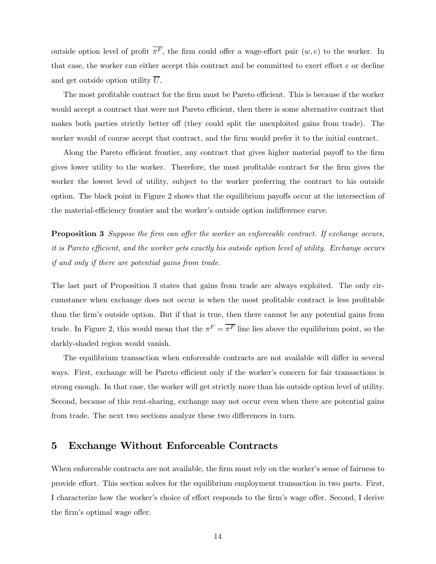outside option level of profit  $\overline{\pi^F}$ , the firm could offer a wage-effort pair  $(w, e)$  to the worker. In that case, the worker can either accept this contract and be committed to exert effort e or decline and get outside option utility  $\overline{U}$ .

The most profitable contract for the firm must be Pareto efficient. This is because if the worker would accept a contract that were not Pareto efficient, then there is some alternative contract that makes both parties strictly better off (they could split the unexploited gains from trade). The worker would of course accept that contract, and the firm would prefer it to the initial contract.

Along the Pareto efficient frontier, any contract that gives higher material payoff to the firm gives lower utility to the worker. Therefore, the most profitable contract for the firm gives the worker the lowest level of utility, subject to the worker preferring the contract to his outside option. The black point in Figure 2 shows that the equilibrium payoffs occur at the intersection of the material-efficiency frontier and the worker's outside option indifference curve.

**Proposition 3** Suppose the firm can offer the worker an enforceable contract. If exchange occurs, it is Pareto efficient, and the worker gets exactly his outside option level of utility. Exchange occurs if and only if there are potential gains from trade.

The last part of Proposition 3 states that gains from trade are always exploited. The only circumstance when exchange does not occur is when the most profitable contract is less profitable than the firm's outside option. But if that is true, then there cannot be any potential gains from trade. In Figure 2, this would mean that the  $\pi^F = \overline{\pi^F}$  line lies above the equilibrium point, so the darkly-shaded region would vanish.

The equilibrium transaction when enforceable contracts are not available will differ in several ways. First, exchange will be Pareto efficient only if the worker's concern for fair transactions is strong enough. In that case, the worker will get strictly more than his outside option level of utility. Second, because of this rent-sharing, exchange may not occur even when there are potential gains from trade. The next two sections analyze these two differences in turn.

# 5 Exchange Without Enforceable Contracts

When enforceable contracts are not available, the firm must rely on the worker's sense of fairness to provide effort. This section solves for the equilibrium employment transaction in two parts. First, I characterize how the worker's choice of effort responds to the firm's wage offer. Second, I derive the firm's optimal wage offer.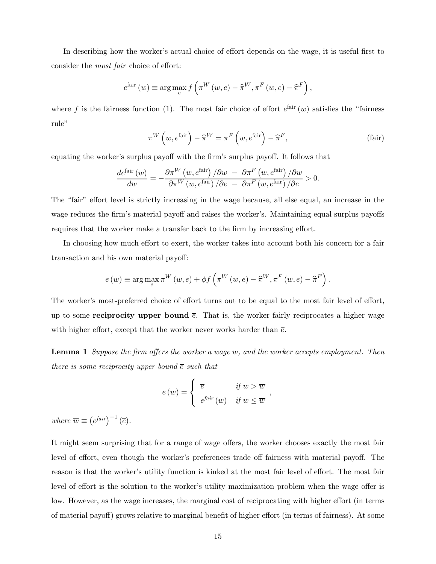In describing how the worker's actual choice of effort depends on the wage, it is useful first to consider the most fair choice of effort:

$$
e^{\text{fair}}(w) \equiv \arg\max_{e} f\left(\pi^W(w, e) - \hat{\pi}^W, \pi^F(w, e) - \hat{\pi}^F\right),
$$

where f is the fairness function (1). The most fair choice of effort  $e^{fair}(w)$  satisfies the "fairness" rule"

$$
\pi^{W}\left(w, e^{\text{fair}}\right) - \widehat{\pi}^{W} = \pi^{F}\left(w, e^{\text{fair}}\right) - \widehat{\pi}^{F},
$$
\n(fair)

,

equating the worker's surplus payoff with the firm's surplus payoff. It follows that

$$
\frac{de^{\text{fair}}\left(w\right)}{dw} = -\frac{\partial \pi^{W}\left(w, e^{\text{fair}}\right) / \partial w - \partial \pi^{F}\left(w, e^{\text{fair}}\right) / \partial w}{\partial \pi^{W}\left(w, e^{\text{fair}}\right) / \partial e - \partial \pi^{F}\left(w, e^{\text{fair}}\right) / \partial e} > 0.
$$

The "fair" effort level is strictly increasing in the wage because, all else equal, an increase in the wage reduces the firm's material payoff and raises the worker's. Maintaining equal surplus payoffs requires that the worker make a transfer back to the firm by increasing effort.

In choosing how much effort to exert, the worker takes into account both his concern for a fair transaction and his own material payoff:

$$
e(w) \equiv \arg\max_{e} \pi^{W}(w, e) + \phi f\left(\pi^{W}(w, e) - \hat{\pi}^{W}, \pi^{F}(w, e) - \hat{\pi}^{F}\right).
$$

The worker's most-preferred choice of effort turns out to be equal to the most fair level of effort, up to some **reciprocity upper bound**  $\bar{e}$ . That is, the worker fairly reciprocates a higher wage with higher effort, except that the worker never works harder than  $\bar{e}$ .

Lemma 1 Suppose the firm offers the worker a wage w, and the worker accepts employment. Then there is some reciprocity upper bound  $\overline{e}$  such that

$$
e(w) = \begin{cases} \overline{e} & \text{if } w > \overline{w} \\ e^{fair}(w) & \text{if } w \leq \overline{w} \end{cases}
$$

where  $\overline{w} \equiv (e^{fair})^{-1} (\overline{e}).$ 

It might seem surprising that for a range of wage offers, the worker chooses exactly the most fair level of effort, even though the worker's preferences trade off fairness with material payoff. The reason is that the worker's utility function is kinked at the most fair level of effort. The most fair level of effort is the solution to the worker's utility maximization problem when the wage offer is low. However, as the wage increases, the marginal cost of reciprocating with higher effort (in terms of material payoff) grows relative to marginal benefit of higher effort (in terms of fairness). At some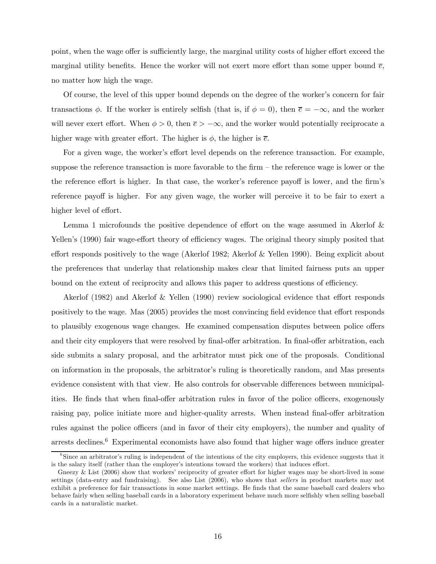point, when the wage offer is sufficiently large, the marginal utility costs of higher effort exceed the marginal utility benefits. Hence the worker will not exert more effort than some upper bound  $\bar{e}$ , no matter how high the wage.

Of course, the level of this upper bound depends on the degree of the worker's concern for fair transactions  $\phi$ . If the worker is entirely selfish (that is, if  $\phi = 0$ ), then  $\overline{e} = -\infty$ , and the worker will never exert effort. When  $\phi > 0$ , then  $\bar{e} > -\infty$ , and the worker would potentially reciprocate a higher wage with greater effort. The higher is  $\phi$ , the higher is  $\bar{e}$ .

For a given wage, the worker's effort level depends on the reference transaction. For example, suppose the reference transaction is more favorable to the firm — the reference wage is lower or the the reference effort is higher. In that case, the worker's reference payoff is lower, and the firm's reference payoff is higher. For any given wage, the worker will perceive it to be fair to exert a higher level of effort.

Lemma 1 microfounds the positive dependence of effort on the wage assumed in Akerlof & Yellen's (1990) fair wage-effort theory of efficiency wages. The original theory simply posited that effort responds positively to the wage (Akerlof 1982; Akerlof & Yellen 1990). Being explicit about the preferences that underlay that relationship makes clear that limited fairness puts an upper bound on the extent of reciprocity and allows this paper to address questions of efficiency.

Akerlof (1982) and Akerlof & Yellen (1990) review sociological evidence that effort responds positively to the wage. Mas (2005) provides the most convincing field evidence that effort responds to plausibly exogenous wage changes. He examined compensation disputes between police offers and their city employers that were resolved by final-offer arbitration. In final-offer arbitration, each side submits a salary proposal, and the arbitrator must pick one of the proposals. Conditional on information in the proposals, the arbitrator's ruling is theoretically random, and Mas presents evidence consistent with that view. He also controls for observable differences between municipalities. He finds that when final-offer arbitration rules in favor of the police officers, exogenously raising pay, police initiate more and higher-quality arrests. When instead final-offer arbitration rules against the police officers (and in favor of their city employers), the number and quality of arrests declines.6 Experimental economists have also found that higher wage offers induce greater

<sup>&</sup>lt;sup>6</sup>Since an arbitrator's ruling is independent of the intentions of the city employers, this evidence suggests that it is the salary itself (rather than the employer's intentions toward the workers) that induces effort.

Gneezy & List (2006) show that workers' reciprocity of greater effort for higher wages may be short-lived in some settings (data-entry and fundraising). See also List (2006), who shows that sellers in product markets may not exhibit a preference for fair transactions in some market settings. He finds that the same baseball card dealers who behave fairly when selling baseball cards in a laboratory experiment behave much more selfishly when selling baseball cards in a naturalistic market.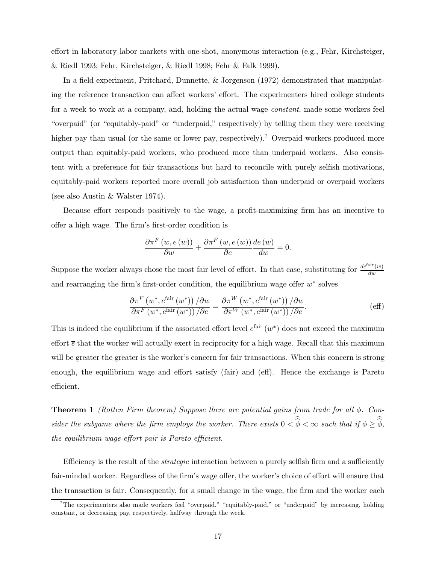effort in laboratory labor markets with one-shot, anonymous interaction (e.g., Fehr, Kirchsteiger, & Riedl 1993; Fehr, Kirchsteiger, & Riedl 1998; Fehr & Falk 1999).

In a field experiment, Pritchard, Dunnette, & Jorgenson (1972) demonstrated that manipulating the reference transaction can affect workers' effort. The experimenters hired college students for a week to work at a company, and, holding the actual wage constant, made some workers feel "overpaid" (or "equitably-paid" or "underpaid," respectively) by telling them they were receiving higher pay than usual (or the same or lower pay, respectively).<sup>7</sup> Overpaid workers produced more output than equitably-paid workers, who produced more than underpaid workers. Also consistent with a preference for fair transactions but hard to reconcile with purely selfish motivations, equitably-paid workers reported more overall job satisfaction than underpaid or overpaid workers (see also Austin & Walster 1974).

Because effort responds positively to the wage, a profit-maximizing firm has an incentive to offer a high wage. The firm's first-order condition is

$$
\frac{\partial \pi^{F}(w, e(w))}{\partial w} + \frac{\partial \pi^{F}(w, e(w))}{\partial e} \frac{de(w)}{dw} = 0.
$$

Suppose the worker always chose the most fair level of effort. In that case, substituting for  $\frac{de^{fair}(w)}{dw}$ and rearranging the firm's first-order condition, the equilibrium wage offer w∗ solves

$$
\frac{\partial \pi^F \left(w^*, e^{\text{fair}}\left(w^*\right)\right) / \partial w}{\partial \pi^F \left(w^*, e^{\text{fair}}\left(w^*\right)\right) / \partial e} = \frac{\partial \pi^W \left(w^*, e^{\text{fair}}\left(w^*\right)\right) / \partial w}{\partial \pi^W \left(w^*, e^{\text{fair}}\left(w^*\right)\right) / \partial e}.\tag{eff}
$$

This is indeed the equilibrium if the associated effort level  $e^{fair}(w^*)$  does not exceed the maximum effort  $\bar{\epsilon}$  that the worker will actually exert in reciprocity for a high wage. Recall that this maximum will be greater the greater is the worker's concern for fair transactions. When this concern is strong enough, the equilibrium wage and effort satisfy (fair) and (eff). Hence the exchange is Pareto efficient.

**Theorem 1** (Rotten Firm theorem) Suppose there are potential gains from trade for all  $\phi$ . Consider the subgame where the firm employs the worker. There exists  $0 < \phi < \infty$  such that if  $\phi \ge \phi$ , the equilibrium wage-effort pair is Pareto efficient.

Efficiency is the result of the *strategic* interaction between a purely selfish firm and a sufficiently fair-minded worker. Regardless of the firm's wage offer, the worker's choice of effort will ensure that the transaction is fair. Consequently, for a small change in the wage, the firm and the worker each

<sup>&</sup>lt;sup>7</sup>The experimenters also made workers feel "overpaid," "equitably-paid," or "underpaid" by increasing, holding constant, or decreasing pay, respectively, halfway through the week.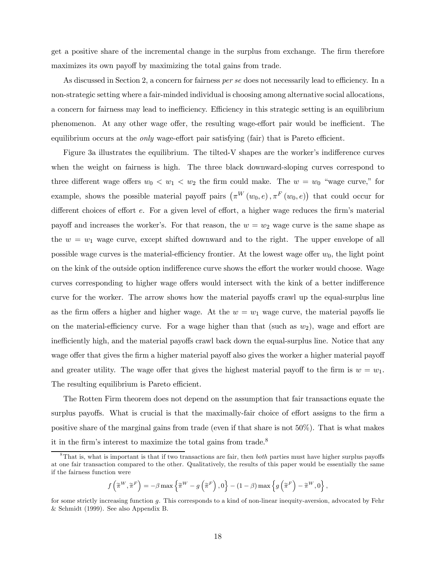get a positive share of the incremental change in the surplus from exchange. The firm therefore maximizes its own payoff by maximizing the total gains from trade.

As discussed in Section 2, a concern for fairness per se does not necessarily lead to efficiency. In a non-strategic setting where a fair-minded individual is choosing among alternative social allocations, a concern for fairness may lead to inefficiency. Efficiency in this strategic setting is an equilibrium phenomenon. At any other wage offer, the resulting wage-effort pair would be inefficient. The equilibrium occurs at the *only* wage-effort pair satisfying (fair) that is Pareto efficient.

Figure 3a illustrates the equilibrium. The tilted-V shapes are the worker's indifference curves when the weight on fairness is high. The three black downward-sloping curves correspond to three different wage offers  $w_0 < w_1 < w_2$  the firm could make. The  $w = w_0$  "wage curve," for example, shows the possible material payoff pairs  $(\pi^W(w_0, e), \pi^F(w_0, e))$  that could occur for different choices of effort e. For a given level of effort, a higher wage reduces the firm's material payoff and increases the worker's. For that reason, the  $w = w_2$  wage curve is the same shape as the  $w = w_1$  wage curve, except shifted downward and to the right. The upper envelope of all possible wage curves is the material-efficiency frontier. At the lowest wage offer  $w_0$ , the light point on the kink of the outside option indifference curve shows the effort the worker would choose. Wage curves corresponding to higher wage offers would intersect with the kink of a better indifference curve for the worker. The arrow shows how the material payoffs crawl up the equal-surplus line as the firm offers a higher and higher wage. At the  $w = w_1$  wage curve, the material payoffs lie on the material-efficiency curve. For a wage higher than that (such as  $w_2$ ), wage and effort are inefficiently high, and the material payoffs crawl back down the equal-surplus line. Notice that any wage offer that gives the firm a higher material payoff also gives the worker a higher material payoff and greater utility. The wage offer that gives the highest material payoff to the firm is  $w = w_1$ . The resulting equilibrium is Pareto efficient.

The Rotten Firm theorem does not depend on the assumption that fair transactions equate the surplus payoffs. What is crucial is that the maximally-fair choice of effort assigns to the firm a positive share of the marginal gains from trade (even if that share is not 50%). That is what makes it in the firm's interest to maximize the total gains from trade.<sup>8</sup>

$$
f\left(\widetilde{\pi}^{W},\widetilde{\pi}^{F}\right)=-\beta \max \left\{\widetilde{\pi}^{W}-g\left(\widetilde{\pi}^{F}\right),0\right\}-(1-\beta) \max \left\{g\left(\widetilde{\pi}^{F}\right)-\widetilde{\pi}^{W},0\right\},\,
$$

 $8$ That is, what is important is that if two transactions are fair, then *both* parties must have higher surplus payoffs at one fair transaction compared to the other. Qualitatively, the results of this paper would be essentially the same if the fairness function were

for some strictly increasing function g. This corresponds to a kind of non-linear inequity-aversion, advocated by Fehr & Schmidt (1999). See also Appendix B.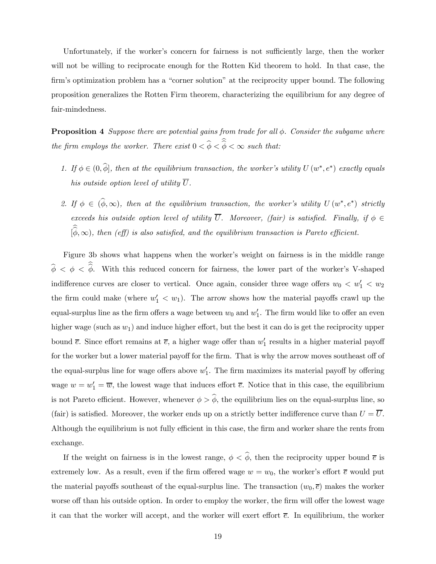Unfortunately, if the worker's concern for fairness is not sufficiently large, then the worker will not be willing to reciprocate enough for the Rotten Kid theorem to hold. In that case, the firm's optimization problem has a "corner solution" at the reciprocity upper bound. The following proposition generalizes the Rotten Firm theorem, characterizing the equilibrium for any degree of fair-mindedness.

**Proposition 4** Suppose there are potential gains from trade for all  $\phi$ . Consider the subgame where the firm employs the worker. There exist  $0 < \phi < \phi < \infty$  such that:

- 1. If  $\phi \in (0, \widehat{\phi}]$ , then at the equilibrium transaction, the worker's utility  $U(w^*, e^*)$  exactly equals his outside option level of utility  $\overline{U}$ .
- 2. If  $\phi \in (\widehat{\phi}, \infty)$ , then at the equilibrium transaction, the worker's utility  $U(w^*, e^*)$  strictly exceeds his outside option level of utility  $\overline{U}$ . Moreover, (fair) is satisfied. Finally, if  $\phi \in$  $[\phi, \infty)$ , then (eff) is also satisfied, and the equilibrium transaction is Pareto efficient.

Figure 3b shows what happens when the worker's weight on fairness is in the middle range  $\phi < \phi < \phi$ . With this reduced concern for fairness, the lower part of the worker's V-shaped indifference curves are closer to vertical. Once again, consider three wage offers  $w_0 < w_1' < w_2$ the firm could make (where  $w'_1 < w_1$ ). The arrow shows how the material payoffs crawl up the equal-surplus line as the firm offers a wage between  $w_0$  and  $w'_1$ . The firm would like to offer an even higher wage (such as  $w_1$ ) and induce higher effort, but the best it can do is get the reciprocity upper bound  $\bar{e}$ . Since effort remains at  $\bar{e}$ , a higher wage offer than  $w'_1$  results in a higher material payoff for the worker but a lower material payoff for the firm. That is why the arrow moves southeast off of the equal-surplus line for wage offers above  $w'_1$ . The firm maximizes its material payoff by offering wage  $w = w_1' = \overline{w}$ , the lowest wage that induces effort  $\overline{e}$ . Notice that in this case, the equilibrium is not Pareto efficient. However, whenever  $\phi > \hat{\phi}$ , the equilibrium lies on the equal-surplus line, so (fair) is satisfied. Moreover, the worker ends up on a strictly better indifference curve than  $U = \overline{U}$ . Although the equilibrium is not fully efficient in this case, the firm and worker share the rents from exchange.

If the weight on fairness is in the lowest range,  $\phi < \hat{\phi}$ , then the reciprocity upper bound  $\bar{e}$  is extremely low. As a result, even if the firm offered wage  $w = w_0$ , the worker's effort  $\bar{e}$  would put the material payoffs southeast of the equal-surplus line. The transaction  $(w_0, \overline{e})$  makes the worker worse off than his outside option. In order to employ the worker, the firm will offer the lowest wage it can that the worker will accept, and the worker will exert effort  $\bar{e}$ . In equilibrium, the worker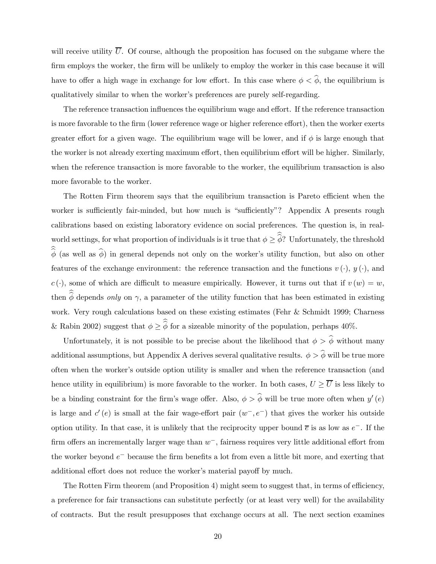will receive utility  $\overline{U}$ . Of course, although the proposition has focused on the subgame where the firm employs the worker, the firm will be unlikely to employ the worker in this case because it will have to offer a high wage in exchange for low effort. In this case where  $\phi < \hat{\phi}$ , the equilibrium is qualitatively similar to when the worker's preferences are purely self-regarding.

The reference transaction influences the equilibrium wage and effort. If the reference transaction is more favorable to the firm (lower reference wage or higher reference effort), then the worker exerts greater effort for a given wage. The equilibrium wage will be lower, and if  $\phi$  is large enough that the worker is not already exerting maximum effort, then equilibrium effort will be higher. Similarly, when the reference transaction is more favorable to the worker, the equilibrium transaction is also more favorable to the worker.

The Rotten Firm theorem says that the equilibrium transaction is Pareto efficient when the worker is sufficiently fair-minded, but how much is "sufficiently"? Appendix A presents rough calibrations based on existing laboratory evidence on social preferences. The question is, in realworld settings, for what proportion of individuals is it true that  $\phi \geq \phi$ ? Unfortunately, the threshold  $\phi$  (as well as  $\phi$ ) in general depends not only on the worker's utility function, but also on other features of the exchange environment: the reference transaction and the functions  $v(\cdot)$ ,  $y(\cdot)$ , and  $c(\cdot)$ , some of which are difficult to measure empirically. However, it turns out that if  $v(w) = w$ , then  $\phi$  depends only on  $\gamma$ , a parameter of the utility function that has been estimated in existing work. Very rough calculations based on these existing estimates (Fehr & Schmidt 1999; Charness & Rabin 2002) suggest that  $\phi \ge \phi$  for a sizeable minority of the population, perhaps 40%.

Unfortunately, it is not possible to be precise about the likelihood that  $\phi > \hat{\phi}$  without many additional assumptions, but Appendix A derives several qualitative results.  $\phi > \hat{\phi}$  will be true more often when the worker's outside option utility is smaller and when the reference transaction (and hence utility in equilibrium) is more favorable to the worker. In both cases,  $U \geq \overline{U}$  is less likely to be a binding constraint for the firm's wage offer. Also,  $\phi > \hat{\phi}$  will be true more often when  $y'(e)$ is large and  $c'(e)$  is small at the fair wage-effort pair  $(w^-, e^-)$  that gives the worker his outside option utility. In that case, it is unlikely that the reciprocity upper bound  $\bar{e}$  is as low as  $e^-$ . If the firm offers an incrementally larger wage than  $w^-$ , fairness requires very little additional effort from the worker beyond e− because the firm benefits a lot from even a little bit more, and exerting that additional effort does not reduce the worker's material payoff by much.

The Rotten Firm theorem (and Proposition 4) might seem to suggest that, in terms of efficiency, a preference for fair transactions can substitute perfectly (or at least very well) for the availability of contracts. But the result presupposes that exchange occurs at all. The next section examines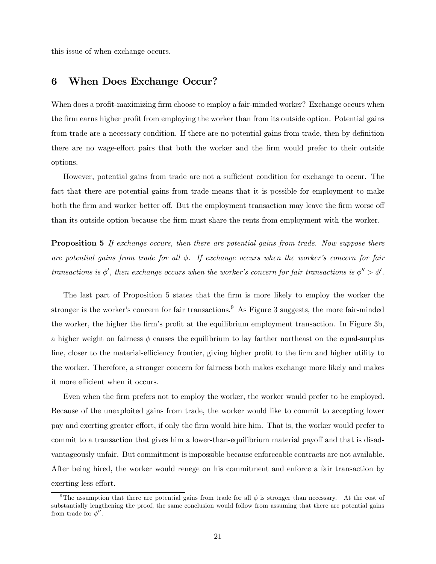this issue of when exchange occurs.

# 6 When Does Exchange Occur?

When does a profit-maximizing firm choose to employ a fair-minded worker? Exchange occurs when the firm earns higher profit from employing the worker than from its outside option. Potential gains from trade are a necessary condition. If there are no potential gains from trade, then by definition there are no wage-effort pairs that both the worker and the firm would prefer to their outside options.

However, potential gains from trade are not a sufficient condition for exchange to occur. The fact that there are potential gains from trade means that it is possible for employment to make both the firm and worker better off. But the employment transaction may leave the firm worse off than its outside option because the firm must share the rents from employment with the worker.

**Proposition 5** If exchange occurs, then there are potential gains from trade. Now suppose there are potential gains from trade for all  $\phi$ . If exchange occurs when the worker's concern for fair transactions is  $\phi'$ , then exchange occurs when the worker's concern for fair transactions is  $\phi'' > \phi'$ .

The last part of Proposition 5 states that the firm is more likely to employ the worker the stronger is the worker's concern for fair transactions.<sup>9</sup> As Figure 3 suggests, the more fair-minded the worker, the higher the firm's profit at the equilibrium employment transaction. In Figure 3b, a higher weight on fairness  $\phi$  causes the equilibrium to lay farther northeast on the equal-surplus line, closer to the material-efficiency frontier, giving higher profit to the firm and higher utility to the worker. Therefore, a stronger concern for fairness both makes exchange more likely and makes it more efficient when it occurs.

Even when the firm prefers not to employ the worker, the worker would prefer to be employed. Because of the unexploited gains from trade, the worker would like to commit to accepting lower pay and exerting greater effort, if only the firm would hire him. That is, the worker would prefer to commit to a transaction that gives him a lower-than-equilibrium material payoff and that is disadvantageously unfair. But commitment is impossible because enforceable contracts are not available. After being hired, the worker would renege on his commitment and enforce a fair transaction by exerting less effort.

<sup>&</sup>lt;sup>9</sup>The assumption that there are potential gains from trade for all  $\phi$  is stronger than necessary. At the cost of substantially lengthening the proof, the same conclusion would follow from assuming that there are potential gains from trade for  $\phi''$ .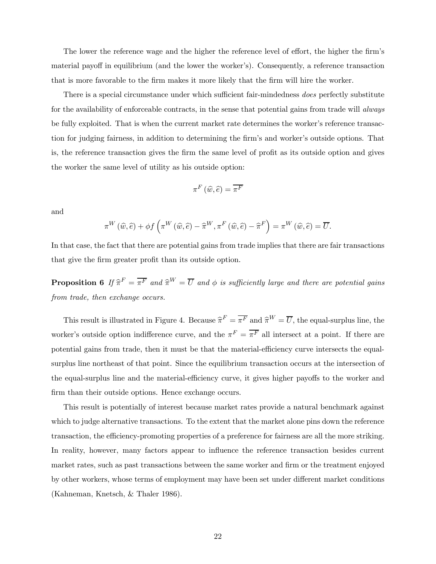The lower the reference wage and the higher the reference level of effort, the higher the firm's material payoff in equilibrium (and the lower the worker's). Consequently, a reference transaction that is more favorable to the firm makes it more likely that the firm will hire the worker.

There is a special circumstance under which sufficient fair-mindedness does perfectly substitute for the availability of enforceable contracts, in the sense that potential gains from trade will *always* be fully exploited. That is when the current market rate determines the worker's reference transaction for judging fairness, in addition to determining the firm's and worker's outside options. That is, the reference transaction gives the firm the same level of profit as its outside option and gives the worker the same level of utility as his outside option:

$$
\pi^F\left(\widehat{w},\widehat{e}\right)=\overline{\pi^F}
$$

and

$$
\pi^{W}(\widehat{w},\widehat{e}) + \phi f\left(\pi^{W}(\widehat{w},\widehat{e}) - \widehat{\pi}^{W}, \pi^{F}(\widehat{w},\widehat{e}) - \widehat{\pi}^{F}\right) = \pi^{W}(\widehat{w},\widehat{e}) = \overline{U}.
$$

In that case, the fact that there are potential gains from trade implies that there are fair transactions that give the firm greater profit than its outside option.

**Proposition 6** If  $\hat{\pi}^F = \overline{\pi^F}$  and  $\hat{\pi}^W = \overline{U}$  and  $\phi$  is sufficiently large and there are potential gains from trade, then exchange occurs.

This result is illustrated in Figure 4. Because  $\hat{\pi}^F = \overline{\pi}^F$  and  $\hat{\pi}^W = \overline{U}$ , the equal-surplus line, the worker's outside option indifference curve, and the  $\pi^F = \overline{\pi^F}$  all intersect at a point. If there are potential gains from trade, then it must be that the material-efficiency curve intersects the equalsurplus line northeast of that point. Since the equilibrium transaction occurs at the intersection of the equal-surplus line and the material-efficiency curve, it gives higher payoffs to the worker and firm than their outside options. Hence exchange occurs.

This result is potentially of interest because market rates provide a natural benchmark against which to judge alternative transactions. To the extent that the market alone pins down the reference transaction, the efficiency-promoting properties of a preference for fairness are all the more striking. In reality, however, many factors appear to influence the reference transaction besides current market rates, such as past transactions between the same worker and firm or the treatment enjoyed by other workers, whose terms of employment may have been set under different market conditions (Kahneman, Knetsch, & Thaler 1986).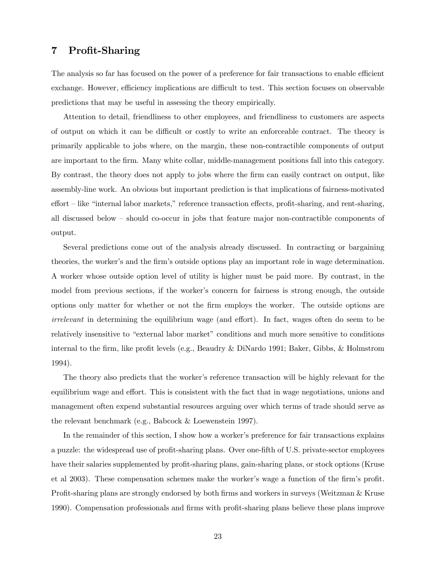# 7 Profit-Sharing

The analysis so far has focused on the power of a preference for fair transactions to enable efficient exchange. However, efficiency implications are difficult to test. This section focuses on observable predictions that may be useful in assessing the theory empirically.

Attention to detail, friendliness to other employees, and friendliness to customers are aspects of output on which it can be difficult or costly to write an enforceable contract. The theory is primarily applicable to jobs where, on the margin, these non-contractible components of output are important to the firm. Many white collar, middle-management positions fall into this category. By contrast, the theory does not apply to jobs where the firm can easily contract on output, like assembly-line work. An obvious but important prediction is that implications of fairness-motivated effort — like "internal labor markets," reference transaction effects, profit-sharing, and rent-sharing, all discussed below — should co-occur in jobs that feature major non-contractible components of output.

Several predictions come out of the analysis already discussed. In contracting or bargaining theories, the worker's and the firm's outside options play an important role in wage determination. A worker whose outside option level of utility is higher must be paid more. By contrast, in the model from previous sections, if the worker's concern for fairness is strong enough, the outside options only matter for whether or not the firm employs the worker. The outside options are irrelevant in determining the equilibrium wage (and effort). In fact, wages often do seem to be relatively insensitive to "external labor market" conditions and much more sensitive to conditions internal to the firm, like profit levels (e.g., Beaudry & DiNardo 1991; Baker, Gibbs, & Holmstrom 1994).

The theory also predicts that the worker's reference transaction will be highly relevant for the equilibrium wage and effort. This is consistent with the fact that in wage negotiations, unions and management often expend substantial resources arguing over which terms of trade should serve as the relevant benchmark (e.g., Babcock & Loewenstein 1997).

In the remainder of this section, I show how a worker's preference for fair transactions explains a puzzle: the widespread use of profit-sharing plans. Over one-fifth of U.S. private-sector employees have their salaries supplemented by profit-sharing plans, gain-sharing plans, or stock options (Kruse et al 2003). These compensation schemes make the worker's wage a function of the firm's profit. Profit-sharing plans are strongly endorsed by both firms and workers in surveys (Weitzman & Kruse 1990). Compensation professionals and firms with profit-sharing plans believe these plans improve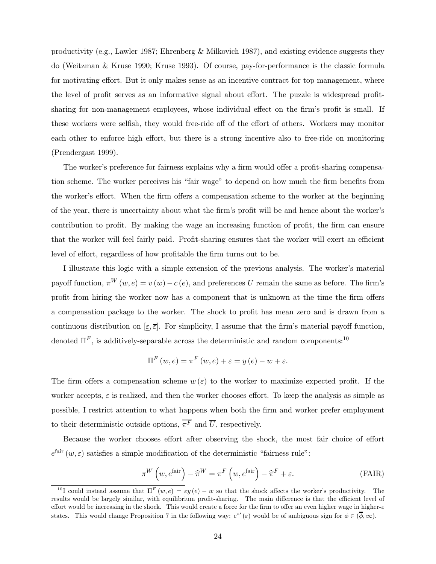productivity (e.g., Lawler 1987; Ehrenberg & Milkovich 1987), and existing evidence suggests they do (Weitzman & Kruse 1990; Kruse 1993). Of course, pay-for-performance is the classic formula for motivating effort. But it only makes sense as an incentive contract for top management, where the level of profit serves as an informative signal about effort. The puzzle is widespread profitsharing for non-management employees, whose individual effect on the firm's profit is small. If these workers were selfish, they would free-ride off of the effort of others. Workers may monitor each other to enforce high effort, but there is a strong incentive also to free-ride on monitoring (Prendergast 1999).

The worker's preference for fairness explains why a firm would offer a profit-sharing compensation scheme. The worker perceives his "fair wage" to depend on how much the firm benefits from the worker's effort. When the firm offers a compensation scheme to the worker at the beginning of the year, there is uncertainty about what the firm's profit will be and hence about the worker's contribution to profit. By making the wage an increasing function of profit, the firm can ensure that the worker will feel fairly paid. Profit-sharing ensures that the worker will exert an efficient level of effort, regardless of how profitable the firm turns out to be.

I illustrate this logic with a simple extension of the previous analysis. The worker's material payoff function,  $\pi^{W}(w, e) = v(w) - c(e)$ , and preferences U remain the same as before. The firm's profit from hiring the worker now has a component that is unknown at the time the firm offers a compensation package to the worker. The shock to profit has mean zero and is drawn from a continuous distribution on  $[\underline{\varepsilon}, \overline{\varepsilon}]$ . For simplicity, I assume that the firm's material payoff function, denoted  $\Pi^F$ , is additively-separable across the deterministic and random components:<sup>10</sup>

$$
\Pi^{F}(w,e) = \pi^{F}(w,e) + \varepsilon = y(e) - w + \varepsilon.
$$

The firm offers a compensation scheme  $w(\varepsilon)$  to the worker to maximize expected profit. If the worker accepts,  $\varepsilon$  is realized, and then the worker chooses effort. To keep the analysis as simple as possible, I restrict attention to what happens when both the firm and worker prefer employment to their deterministic outside options,  $\overline{\pi^F}$  and  $\overline{U}$ , respectively.

Because the worker chooses effort after observing the shock, the most fair choice of effort  $e^{i\text{air}}(w,\varepsilon)$  satisfies a simple modification of the deterministic "fairness rule":

$$
\pi^{W}\left(w, e^{\text{fair}}\right) - \widehat{\pi}^{W} = \pi^{F}\left(w, e^{\text{fair}}\right) - \widehat{\pi}^{F} + \varepsilon.
$$
 (FAIR)

<sup>&</sup>lt;sup>10</sup>I could instead assume that  $\Pi^F(w, e) = \varepsilon v(e) - w$  so that the shock affects the worker's productivity. The results would be largely similar, with equilibrium profit-sharing. The main difference is that the efficient level of effort would be increasing in the shock. This would create a force for the firm to offer an even higher wage in higher-ε states. This would change Proposition 7 in the following way:  $e^{*\prime}(\varepsilon)$  would be of ambiguous sign for  $\phi \in (\overline{\phi}, \infty)$ .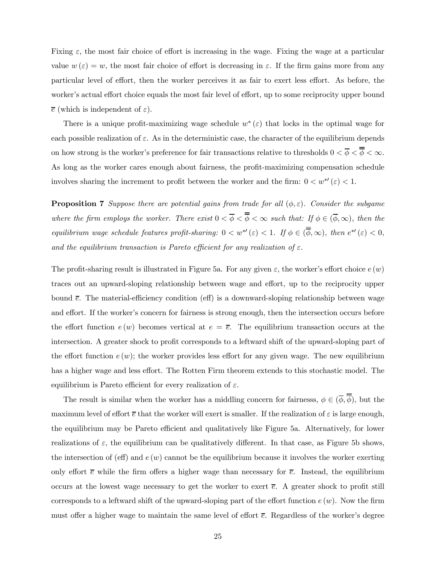Fixing  $\varepsilon$ , the most fair choice of effort is increasing in the wage. Fixing the wage at a particular value  $w(\varepsilon) = w$ , the most fair choice of effort is decreasing in  $\varepsilon$ . If the firm gains more from any particular level of effort, then the worker perceives it as fair to exert less effort. As before, the worker's actual effort choice equals the most fair level of effort, up to some reciprocity upper bound  $\bar{e}$  (which is independent of  $\varepsilon$ ).

There is a unique profit-maximizing wage schedule  $w^*(\varepsilon)$  that locks in the optimal wage for each possible realization of  $\varepsilon$ . As in the deterministic case, the character of the equilibrium depends on how strong is the worker's preference for fair transactions relative to thresholds  $0 < \overline{\phi} < \overline{\phi} < \infty$ . As long as the worker cares enough about fairness, the profit-maximizing compensation schedule involves sharing the increment to profit between the worker and the firm:  $0 < w^{*'}(\varepsilon) < 1$ .

**Proposition 7** Suppose there are potential gains from trade for all  $(\phi, \varepsilon)$ . Consider the subgame where the firm employs the worker. There exist  $0 < \overline{\phi} < \overline{\phi} < \infty$  such that: If  $\phi \in (\overline{\phi}, \infty)$ , then the equilibrium wage schedule features profit-sharing:  $0 < w^{*'}(\varepsilon) < 1$ . If  $\phi \in (\overline{\phi}, \infty)$ , then  $e^{*'}(\varepsilon) < 0$ , and the equilibrium transaction is Pareto efficient for any realization of  $\varepsilon$ .

The profit-sharing result is illustrated in Figure 5a. For any given  $\varepsilon$ , the worker's effort choice  $e(w)$ traces out an upward-sloping relationship between wage and effort, up to the reciprocity upper bound  $\bar{e}$ . The material-efficiency condition (eff) is a downward-sloping relationship between wage and effort. If the worker's concern for fairness is strong enough, then the intersection occurs before the effort function  $e(w)$  becomes vertical at  $e = \overline{e}$ . The equilibrium transaction occurs at the intersection. A greater shock to profit corresponds to a leftward shift of the upward-sloping part of the effort function  $e(w)$ ; the worker provides less effort for any given wage. The new equilibrium has a higher wage and less effort. The Rotten Firm theorem extends to this stochastic model. The equilibrium is Pareto efficient for every realization of  $\varepsilon$ .

The result is similar when the worker has a middling concern for fairnesss,  $\phi \in (\overline{\phi}, \overline{\overline{\phi}})$ , but the maximum level of effort  $\bar{e}$  that the worker will exert is smaller. If the realization of  $\varepsilon$  is large enough, the equilibrium may be Pareto efficient and qualitatively like Figure 5a. Alternatively, for lower realizations of  $\varepsilon$ , the equilibrium can be qualitatively different. In that case, as Figure 5b shows, the intersection of (eff) and  $e(w)$  cannot be the equilibrium because it involves the worker exerting only effort  $\bar{e}$  while the firm offers a higher wage than necessary for  $\bar{e}$ . Instead, the equilibrium occurs at the lowest wage necessary to get the worker to exert  $\bar{e}$ . A greater shock to profit still corresponds to a leftward shift of the upward-sloping part of the effort function  $e(w)$ . Now the firm must offer a higher wage to maintain the same level of effort  $\bar{e}$ . Regardless of the worker's degree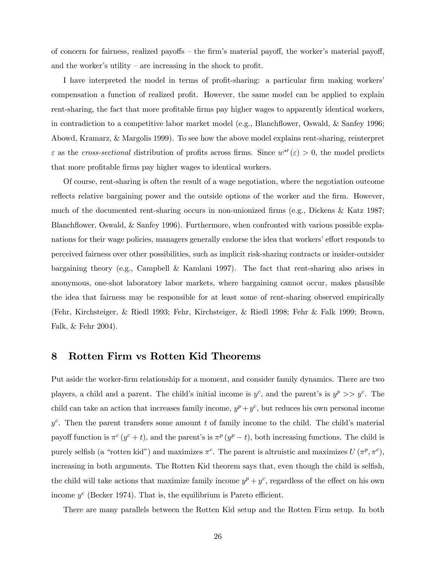of concern for fairness, realized payoffs — the firm's material payoff, the worker's material payoff, and the worker's utility – are increasing in the shock to profit.

I have interpreted the model in terms of profit-sharing: a particular firm making workers' compensation a function of realized profit. However, the same model can be applied to explain rent-sharing, the fact that more profitable firms pay higher wages to apparently identical workers, in contradiction to a competitive labor market model (e.g., Blanchflower, Oswald, & Sanfey 1996; Abowd, Kramarz, & Margolis 1999). To see how the above model explains rent-sharing, reinterpret  $\varepsilon$  as the cross-sectional distribution of profits across firms. Since  $w^{*'}(\varepsilon) > 0$ , the model predicts that more profitable firms pay higher wages to identical workers.

Of course, rent-sharing is often the result of a wage negotiation, where the negotiation outcome reflects relative bargaining power and the outside options of the worker and the firm. However, much of the documented rent-sharing occurs in non-unionized firms (e.g., Dickens & Katz 1987; Blanchflower, Oswald, & Sanfey 1996). Furthermore, when confronted with various possible explanations for their wage policies, managers generally endorse the idea that workers' effort responds to perceived fairness over other possibilities, such as implicit risk-sharing contracts or insider-outsider bargaining theory (e.g., Campbell & Kamlani 1997). The fact that rent-sharing also arises in anonymous, one-shot laboratory labor markets, where bargaining cannot occur, makes plausible the idea that fairness may be responsible for at least some of rent-sharing observed empirically (Fehr, Kirchsteiger, & Riedl 1993; Fehr, Kirchsteiger, & Riedl 1998; Fehr & Falk 1999; Brown, Falk, & Fehr 2004).

# 8 Rotten Firm vs Rotten Kid Theorems

Put aside the worker-firm relationship for a moment, and consider family dynamics. There are two players, a child and a parent. The child's initial income is  $y^c$ , and the parent's is  $y^p \gg y^c$ . The child can take an action that increases family income,  $y^p + y^c$ , but reduces his own personal income  $y^c$ . Then the parent transfers some amount t of family income to the child. The child's material payoff function is  $\pi^c (y^c + t)$ , and the parent's is  $\pi^p (y^p - t)$ , both increasing functions. The child is purely selfish (a "rotten kid") and maximizes  $\pi^c$ . The parent is altruistic and maximizes  $U(\pi^p, \pi^c)$ , increasing in both arguments. The Rotten Kid theorem says that, even though the child is selfish, the child will take actions that maximize family income  $y^p + y^c$ , regardless of the effect on his own income  $y^c$  (Becker 1974). That is, the equilibrium is Pareto efficient.

There are many parallels between the Rotten Kid setup and the Rotten Firm setup. In both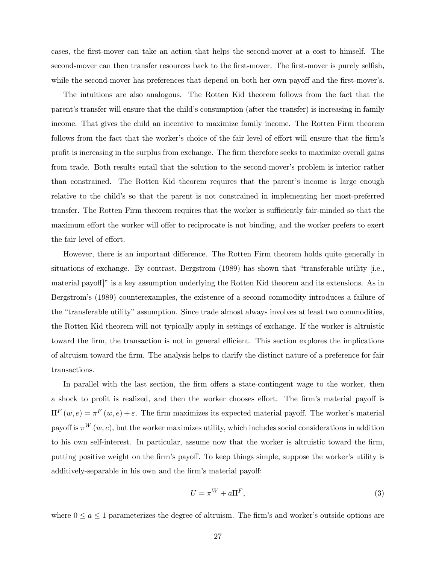cases, the first-mover can take an action that helps the second-mover at a cost to himself. The second-mover can then transfer resources back to the first-mover. The first-mover is purely selfish, while the second-mover has preferences that depend on both her own payoff and the first-mover's.

The intuitions are also analogous. The Rotten Kid theorem follows from the fact that the parent's transfer will ensure that the child's consumption (after the transfer) is increasing in family income. That gives the child an incentive to maximize family income. The Rotten Firm theorem follows from the fact that the worker's choice of the fair level of effort will ensure that the firm's profit is increasing in the surplus from exchange. The firm therefore seeks to maximize overall gains from trade. Both results entail that the solution to the second-mover's problem is interior rather than constrained. The Rotten Kid theorem requires that the parent's income is large enough relative to the child's so that the parent is not constrained in implementing her most-preferred transfer. The Rotten Firm theorem requires that the worker is sufficiently fair-minded so that the maximum effort the worker will offer to reciprocate is not binding, and the worker prefers to exert the fair level of effort.

However, there is an important difference. The Rotten Firm theorem holds quite generally in situations of exchange. By contrast, Bergstrom (1989) has shown that "transferable utility [i.e., material payoff]" is a key assumption underlying the Rotten Kid theorem and its extensions. As in Bergstrom's (1989) counterexamples, the existence of a second commodity introduces a failure of the "transferable utility" assumption. Since trade almost always involves at least two commodities, the Rotten Kid theorem will not typically apply in settings of exchange. If the worker is altruistic toward the firm, the transaction is not in general efficient. This section explores the implications of altruism toward the firm. The analysis helps to clarify the distinct nature of a preference for fair transactions.

In parallel with the last section, the firm offers a state-contingent wage to the worker, then a shock to profit is realized, and then the worker chooses effort. The firm's material payoff is  $\Pi^F(w, e) = \pi^F(w, e) + ε$ . The firm maximizes its expected material payoff. The worker's material payoff is  $\pi^W(w, e)$ , but the worker maximizes utility, which includes social considerations in addition to his own self-interest. In particular, assume now that the worker is altruistic toward the firm, putting positive weight on the firm's payoff. To keep things simple, suppose the worker's utility is additively-separable in his own and the firm's material payoff:

$$
U = \pi^W + a\Pi^F,\tag{3}
$$

where  $0 \le a \le 1$  parameterizes the degree of altruism. The firm's and worker's outside options are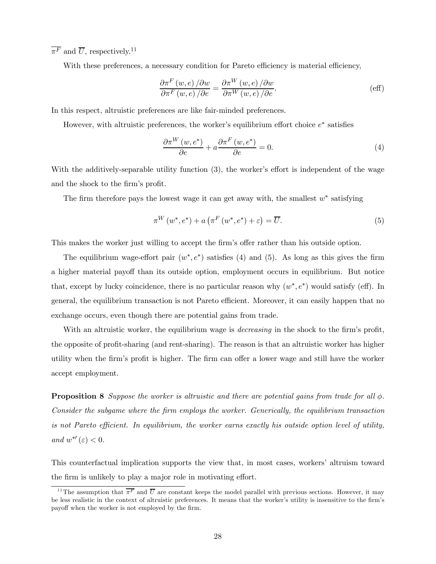$\overline{\pi^F}$  and  $\overline{U}$ , respectively.<sup>11</sup>

With these preferences, a necessary condition for Pareto efficiency is material efficiency,

$$
\frac{\partial \pi^F(w, e)}{\partial \pi^F(w, e)} / \partial w = \frac{\partial \pi^W(w, e)}{\partial \pi^W(w, e)} / \partial w \tag{eff}
$$

In this respect, altruistic preferences are like fair-minded preferences.

However, with altruistic preferences, the worker's equilibrium effort choice  $e^*$  satisfies

$$
\frac{\partial \pi^{W}(w, e^{*})}{\partial e} + a \frac{\partial \pi^{F}(w, e^{*})}{\partial e} = 0.
$$
\n(4)

With the additively-separable utility function (3), the worker's effort is independent of the wage and the shock to the firm's profit.

The firm therefore pays the lowest wage it can get away with, the smallest  $w^*$  satisfying

$$
\pi^{W}(w^{*},e^{*}) + a\left(\pi^{F}(w^{*},e^{*}) + \varepsilon\right) = \overline{U}.
$$
\n(5)

This makes the worker just willing to accept the firm's offer rather than his outside option.

The equilibrium wage-effort pair  $(w^*, e^*)$  satisfies (4) and (5). As long as this gives the firm a higher material payoff than its outside option, employment occurs in equilibrium. But notice that, except by lucky coincidence, there is no particular reason why  $(w^*, e^*)$  would satisfy (eff). In general, the equilibrium transaction is not Pareto efficient. Moreover, it can easily happen that no exchange occurs, even though there are potential gains from trade.

With an altruistic worker, the equilibrium wage is *decreasing* in the shock to the firm's profit, the opposite of profit-sharing (and rent-sharing). The reason is that an altruistic worker has higher utility when the firm's profit is higher. The firm can offer a lower wage and still have the worker accept employment.

**Proposition 8** Suppose the worker is altruistic and there are potential gains from trade for all  $\phi$ . Consider the subgame where the firm employs the worker. Generically, the equilibrium transaction is not Pareto efficient. In equilibrium, the worker earns exactly his outside option level of utility, and  $w^{*'}(\varepsilon) < 0$ .

This counterfactual implication supports the view that, in most cases, workers' altruism toward the firm is unlikely to play a major role in motivating effort.

<sup>&</sup>lt;sup>11</sup>The assumption that  $\overline{\pi}^F$  and  $\overline{U}$  are constant keeps the model parallel with previous sections. However, it may be less realistic in the context of altruistic preferences. It means that the worker's utility is insensitive to the firm's payoff when the worker is not employed by the firm.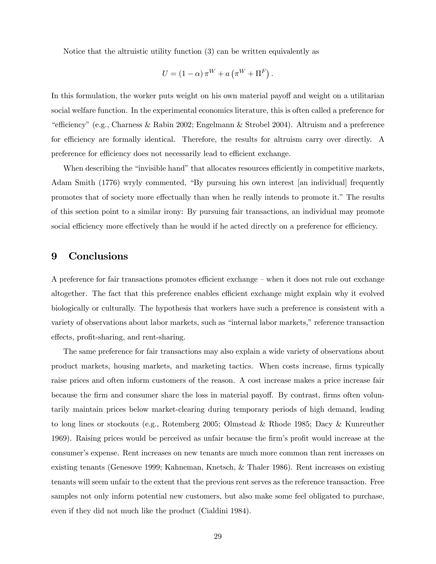Notice that the altruistic utility function (3) can be written equivalently as

$$
U = (1 - \alpha) \pi^{W} + a \left( \pi^{W} + \Pi^{F} \right).
$$

In this formulation, the worker puts weight on his own material payoff and weight on a utilitarian social welfare function. In the experimental economics literature, this is often called a preference for "efficiency" (e.g., Charness & Rabin 2002; Engelmann & Strobel 2004). Altruism and a preference for efficiency are formally identical. Therefore, the results for altruism carry over directly. A preference for efficiency does not necessarily lead to efficient exchange.

When describing the "invisible hand" that allocates resources efficiently in competitive markets, Adam Smith (1776) wryly commented, "By pursuing his own interest [an individual] frequently promotes that of society more effectually than when he really intends to promote it." The results of this section point to a similar irony: By pursuing fair transactions, an individual may promote social efficiency more effectively than he would if he acted directly on a preference for efficiency.

# 9 Conclusions

A preference for fair transactions promotes efficient exchange — when it does not rule out exchange altogether. The fact that this preference enables efficient exchange might explain why it evolved biologically or culturally. The hypothesis that workers have such a preference is consistent with a variety of observations about labor markets, such as "internal labor markets," reference transaction effects, profit-sharing, and rent-sharing.

The same preference for fair transactions may also explain a wide variety of observations about product markets, housing markets, and marketing tactics. When costs increase, firms typically raise prices and often inform customers of the reason. A cost increase makes a price increase fair because the firm and consumer share the loss in material payoff. By contrast, firms often voluntarily maintain prices below market-clearing during temporary periods of high demand, leading to long lines or stockouts (e.g., Rotemberg 2005; Olmstead & Rhode 1985; Dacy & Kunreuther 1969). Raising prices would be perceived as unfair because the firm's profit would increase at the consumer's expense. Rent increases on new tenants are much more common than rent increases on existing tenants (Genesove 1999; Kahneman, Knetsch, & Thaler 1986). Rent increases on existing tenants will seem unfair to the extent that the previous rent serves as the reference transaction. Free samples not only inform potential new customers, but also make some feel obligated to purchase, even if they did not much like the product (Cialdini 1984).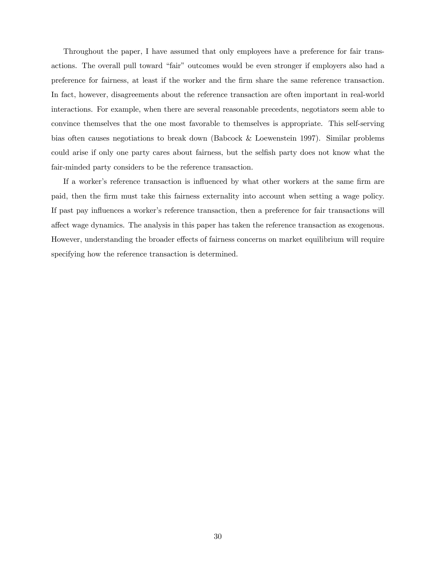Throughout the paper, I have assumed that only employees have a preference for fair transactions. The overall pull toward "fair" outcomes would be even stronger if employers also had a preference for fairness, at least if the worker and the firm share the same reference transaction. In fact, however, disagreements about the reference transaction are often important in real-world interactions. For example, when there are several reasonable precedents, negotiators seem able to convince themselves that the one most favorable to themselves is appropriate. This self-serving bias often causes negotiations to break down (Babcock & Loewenstein 1997). Similar problems could arise if only one party cares about fairness, but the selfish party does not know what the fair-minded party considers to be the reference transaction.

If a worker's reference transaction is influenced by what other workers at the same firm are paid, then the firm must take this fairness externality into account when setting a wage policy. If past pay influences a worker's reference transaction, then a preference for fair transactions will affect wage dynamics. The analysis in this paper has taken the reference transaction as exogenous. However, understanding the broader effects of fairness concerns on market equilibrium will require specifying how the reference transaction is determined.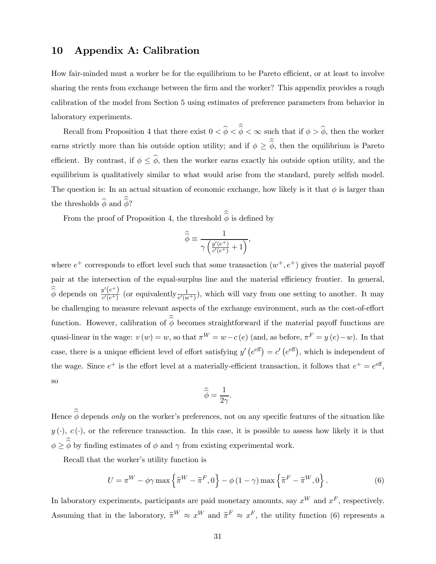# 10 Appendix A: Calibration

How fair-minded must a worker be for the equilibrium to be Pareto efficient, or at least to involve sharing the rents from exchange between the firm and the worker? This appendix provides a rough calibration of the model from Section 5 using estimates of preference parameters from behavior in laboratory experiments.

Recall from Proposition 4 that there exist  $0 < \phi < \phi < \infty$  such that if  $\phi > \phi$ , then the worker earns strictly more than his outside option utility; and if  $\phi \geq \phi$ , then the equilibrium is Pareto efficient. By contrast, if  $\phi \leq \hat{\phi}$ , then the worker earns exactly his outside option utility, and the equilibrium is qualitatively similar to what would arise from the standard, purely selfish model. The question is: In an actual situation of economic exchange, how likely is it that  $\phi$  is larger than the thresholds  $\phi$  and  $\phi$ ?

From the proof of Proposition 4, the threshold  $\phi$  is defined by

$$
\widehat{\widehat{\phi}} \equiv \frac{1}{\gamma \left( \frac{y'(e^+)}{c'(e^+)} + 1 \right)},
$$

where  $e^+$  corresponds to effort level such that some transaction  $(w^+, e^+)$  gives the material payoff pair at the intersection of the equal-surplus line and the material efficiency frontier. In general,  $\hat{\phi}$  depends on  $\frac{y'(e^+)}{c'(e^+)}$  (or equivalently  $\frac{1}{v'(w^+)}$ ), which will vary from one setting to another. It may be challenging to measure relevant aspects of the exchange environment, such as the cost-of-effort function. However, calibration of  $\phi$  becomes straightforward if the material payoff functions are quasi-linear in the wage:  $v(w) = w$ , so that  $\pi^W = w - c(e)$  (and, as before,  $\pi^F = y(e) - w$ ). In that case, there is a unique efficient level of effort satisfying  $y'(e^{\text{eff}}) = c'(e^{\text{eff}})$ , which is independent of the wage. Since  $e^+$  is the effort level at a materially-efficient transaction, it follows that  $e^+ = e^{\text{eff}}$ , so

$$
\widehat{\widehat{\phi}} = \frac{1}{2\gamma}.
$$

Hence  $\phi$  depends only on the worker's preferences, not on any specific features of the situation like  $y(\cdot), c(\cdot)$ , or the reference transaction. In this case, it is possible to assess how likely it is that  $\phi \geq \phi$  by finding estimates of  $\phi$  and  $\gamma$  from existing experimental work.

Recall that the worker's utility function is

$$
U = \pi^{W} - \phi \gamma \max \left\{ \tilde{\pi}^{W} - \tilde{\pi}^{F}, 0 \right\} - \phi \left( 1 - \gamma \right) \max \left\{ \tilde{\pi}^{F} - \tilde{\pi}^{W}, 0 \right\}.
$$
 (6)

In laboratory experiments, participants are paid monetary amounts, say  $x^W$  and  $x^F$ , respectively. Assuming that in the laboratory,  $\widetilde{\pi}^W \approx x^W$  and  $\widetilde{\pi}^F \approx x^F$ , the utility function (6) represents a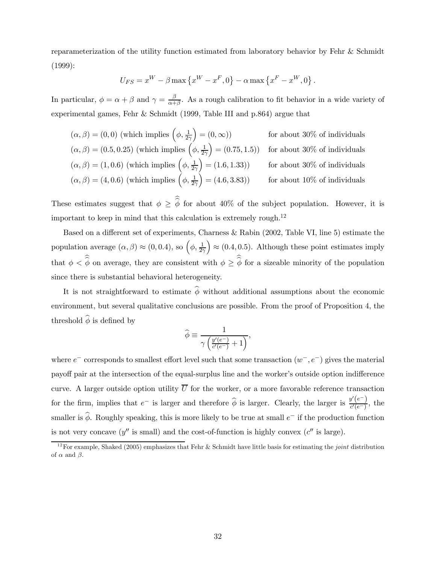reparameterization of the utility function estimated from laboratory behavior by Fehr & Schmidt (1999):

$$
U_{FS} = x^W - \beta \max \left\{ x^W - x^F, 0 \right\} - \alpha \max \left\{ x^F - x^W, 0 \right\}.
$$

In particular,  $\phi = \alpha + \beta$  and  $\gamma = \frac{\beta}{\alpha + \beta}$ . As a rough calibration to fit behavior in a wide variety of experimental games, Fehr & Schmidt (1999, Table III and p.864) argue that

$$
(\alpha, \beta) = (0, 0) \text{ (which implies } \left(\phi, \frac{1}{2\gamma}\right) = (0, \infty)) \qquad \text{for about 30\% of individuals}
$$

$$
(\alpha, \beta) = (0.5, 0.25) \text{ (which implies } \left(\phi, \frac{1}{2\gamma}\right) = (0.75, 1.5)) \qquad \text{for about 30\% of individuals}
$$

$$
(\alpha, \beta) = (1, 0.6) \text{ (which implies } \left(\phi, \frac{1}{2\gamma}\right) = (1.6, 1.33)) \qquad \text{for about 30\% of individuals}
$$

$$
(\alpha, \beta) = (4, 0.6) \text{ (which implies } \left(\phi, \frac{1}{2\gamma}\right) = (4.6, 3.83)) \qquad \text{for about 10\% of individuals}
$$

These estimates suggest that  $\phi \geq \phi$  for about 40% of the subject population. However, it is important to keep in mind that this calculation is extremely rough.<sup>12</sup>

Based on a different set of experiments, Charness & Rabin (2002, Table VI, line 5) estimate the population average  $(\alpha, \beta) \approx (0, 0.4)$ , so  $(\phi, \frac{1}{2\gamma})$  $\left(0.4, 0.5\right)$ . Although these point estimates imply that  $\phi < \phi$  on average, they are consistent with  $\phi \geq \phi$  for a sizeable minority of the population since there is substantial behavioral heterogeneity.

It is not straightforward to estimate  $\hat{\phi}$  without additional assumptions about the economic environment, but several qualitative conclusions are possible. From the proof of Proposition 4, the threshold  $\widehat{\phi}$  is defined by

$$
\widehat{\phi} \equiv \frac{1}{\gamma \left( \frac{y'(e^-)}{c'(e^-)} + 1 \right)},
$$

where  $e^-$  corresponds to smallest effort level such that some transaction  $(w^-, e^-)$  gives the material payoff pair at the intersection of the equal-surplus line and the worker's outside option indifference curve. A larger outside option utility  $\overline{U}$  for the worker, or a more favorable reference transaction for the firm, implies that  $e^-$  is larger and therefore  $\hat{\phi}$  is larger. Clearly, the larger is  $\frac{y'(e^-)}{c'(e^-)}$ , the smaller is  $\hat{\phi}$ . Roughly speaking, this is more likely to be true at small e<sup>−</sup> if the production function is not very concave  $(y''$  is small) and the cost-of-function is highly convex  $(c''$  is large).

<sup>&</sup>lt;sup>12</sup>For example, Shaked (2005) emphasizes that Fehr & Schmidt have little basis for estimating the *joint* distribution of  $\alpha$  and  $\beta$ .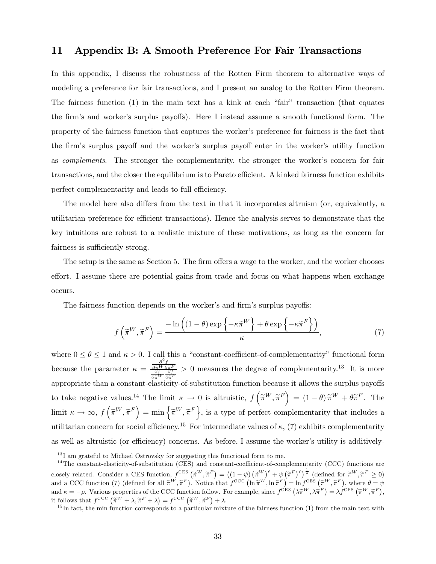# 11 Appendix B: A Smooth Preference For Fair Transactions

In this appendix, I discuss the robustness of the Rotten Firm theorem to alternative ways of modeling a preference for fair transactions, and I present an analog to the Rotten Firm theorem. The fairness function (1) in the main text has a kink at each "fair" transaction (that equates the firm's and worker's surplus payoffs). Here I instead assume a smooth functional form. The property of the fairness function that captures the worker's preference for fairness is the fact that the firm's surplus payoff and the worker's surplus payoff enter in the worker's utility function as complements. The stronger the complementarity, the stronger the worker's concern for fair transactions, and the closer the equilibrium is to Pareto efficient. A kinked fairness function exhibits perfect complementarity and leads to full efficiency.

The model here also differs from the text in that it incorporates altruism (or, equivalently, a utilitarian preference for efficient transactions). Hence the analysis serves to demonstrate that the key intuitions are robust to a realistic mixture of these motivations, as long as the concern for fairness is sufficiently strong.

The setup is the same as Section 5. The firm offers a wage to the worker, and the worker chooses effort. I assume there are potential gains from trade and focus on what happens when exchange occurs.

The fairness function depends on the worker's and firm's surplus payoffs:

$$
f\left(\widetilde{\pi}^W, \widetilde{\pi}^F\right) = \frac{-\ln\left((1-\theta)\exp\left\{-\kappa \widetilde{\pi}^W\right\} + \theta\exp\left\{-\kappa \widetilde{\pi}^F\right\}\right)}{\kappa},\tag{7}
$$

where  $0 \le \theta \le 1$  and  $\kappa > 0$ . I call this a "constant-coefficient-of-complementarity" functional form because the parameter  $\kappa =$  $\partial^2f$  $\frac{\partial \widetilde{\pi}^W}{\partial f} \frac{\partial \widetilde{\pi}^F}{\partial \widetilde{\pi}^W} \frac{\partial f}{\partial \widetilde{\pi}^F}$  $> 0$  measures the degree of complementarity.<sup>13</sup> It is more appropriate than a constant-elasticity-of-substitution function because it allows the surplus payoffs to take negative values.<sup>14</sup> The limit  $\kappa \to 0$  is altruistic,  $f\left(\tilde{\pi}^W, \tilde{\pi}^F\right) = (1 - \theta)\tilde{\pi}^W + \theta \tilde{\pi}^F$ . The limit  $\kappa \to \infty$ ,  $f\left(\tilde{\pi}^W, \tilde{\pi}^F\right) = \min\left\{\tilde{\pi}^W, \tilde{\pi}^F\right\}$ , is a type of perfect complementarity that includes a utilitarian concern for social efficiency.<sup>15</sup> For intermediate values of  $\kappa$ , (7) exhibits complementarity as well as altruistic (or efficiency) concerns. As before, I assume the worker's utility is additively-

 $^{13}$ I am grateful to Michael Ostrovsky for suggesting this functional form to me.

 $14$ The constant-elasticity-of-substitution (CES) and constant-coefficient-of-complementarity (CCC) functions are closely related. Consider a CES function,  $f^{CES}(\tilde{\pi}^W, \tilde{\pi}^F) = ((1 - \psi)(\tilde{\pi}^W)^p + \psi(\tilde{\pi}^F)^p)^{\frac{1}{p}}$  (defined for  $\tilde{\pi}^W, \tilde{\pi}^F \ge 0$ ) and a CCC function (7) (defined for all  $\tilde{\pi}^W$ ,  $\tilde{\pi}^F$ ). Notice that  $f^{\text{CCC}}(\ln \tilde{\pi}^W, \ln \tilde{\pi}^F) = \ln f^{\text{CES}}(\tilde{\pi}^W, \tilde{\pi}^F)$ , where  $\theta = \psi$ and  $\kappa = -\rho$ . Various properties of the CCC function follow. For example, since  $f^{CES}(\lambda \tilde{\pi}^W, \lambda \tilde{\pi}^F) = \lambda f^{CES}(\tilde{\pi}^W, \tilde{\pi}^F)$ , it follows that  $f^{\text{CCC}}(\widetilde{\pi}^W + \lambda, \widetilde{\pi}^F + \lambda) = f^{\text{CCC}}(\widetilde{\pi}^W, \widetilde{\pi}^F) + \lambda$ .

 $15$  In fact, the min function corresponds to a particular mixture of the fairness function (1) from the main text with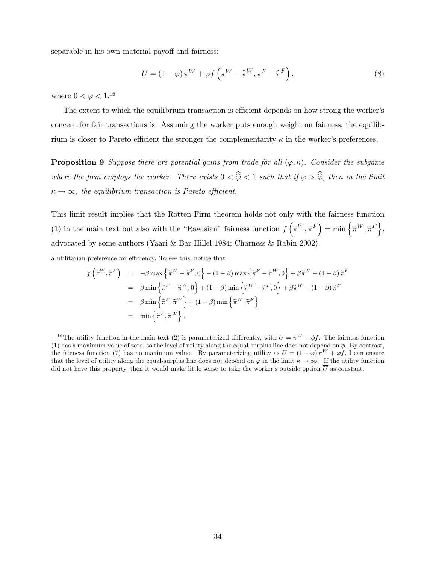separable in his own material payoff and fairness:

$$
U = (1 - \varphi) \pi^{W} + \varphi f\left(\pi^{W} - \widehat{\pi}^{W}, \pi^{F} - \widehat{\pi}^{F}\right),
$$
\n(8)

where  $0 < \varphi < 1.16$ 

The extent to which the equilibrium transaction is efficient depends on how strong the worker's concern for fair transactions is. Assuming the worker puts enough weight on fairness, the equilibrium is closer to Pareto efficient the stronger the complementarity  $\kappa$  in the worker's preferences.

**Proposition 9** Suppose there are potential gains from trade for all  $(\varphi, \kappa)$ . Consider the subgame where the firm employs the worker. There exists  $0 < \hat{\varphi} < 1$  such that if  $\varphi > \hat{\varphi}$ , then in the limit  $\kappa \to \infty$ , the equilibrium transaction is Pareto efficient.

This limit result implies that the Rotten Firm theorem holds not only with the fairness function (1) in the main text but also with the "Rawlsian" fairness function  $f\left(\tilde{\pi}^W, \tilde{\pi}^F\right) = \min\left\{\tilde{\pi}^W, \tilde{\pi}^F\right\},\$ advocated by some authors (Yaari & Bar-Hillel 1984; Charness & Rabin 2002).

a utilitarian preference for efficiency. To see this, notice that

$$
f\left(\tilde{\pi}^{W}, \tilde{\pi}^{F}\right) = -\beta \max \left\{\tilde{\pi}^{W} - \tilde{\pi}^{F}, 0\right\} - (1 - \beta) \max \left\{\tilde{\pi}^{F} - \tilde{\pi}^{W}, 0\right\} + \beta \tilde{\pi}^{W} + (1 - \beta) \tilde{\pi}^{F}
$$
  
\n
$$
= \beta \min \left\{\tilde{\pi}^{F} - \tilde{\pi}^{W}, 0\right\} + (1 - \beta) \min \left\{\tilde{\pi}^{W} - \tilde{\pi}^{F}, 0\right\} + \beta \tilde{\pi}^{W} + (1 - \beta) \tilde{\pi}^{F}
$$
  
\n
$$
= \beta \min \left\{\tilde{\pi}^{F}, \tilde{\pi}^{W}\right\} + (1 - \beta) \min \left\{\tilde{\pi}^{W}, \tilde{\pi}^{F}\right\}
$$
  
\n
$$
= \min \left\{\tilde{\pi}^{F}, \tilde{\pi}^{W}\right\}.
$$

<sup>16</sup>The utility function in the main text (2) is parameterized differently, with  $U = \pi^{W} + \phi f$ . The fairness function (1) has a maximum value of zero, so the level of utility along the equal-surplus line does not depend on  $\phi$ . By contrast, the fairness function (7) has no maximum value. By parameterizing utility as  $U = (1 - \varphi) \pi^{W} + \varphi f$ , I can ensure that the level of utility along the equal-surplus line does not depend on  $\varphi$  in the limit  $\kappa \to \infty$ . If the utility function did not have this property, then it would make little sense to take the worker's outside option  $\overline{U}$  as constant.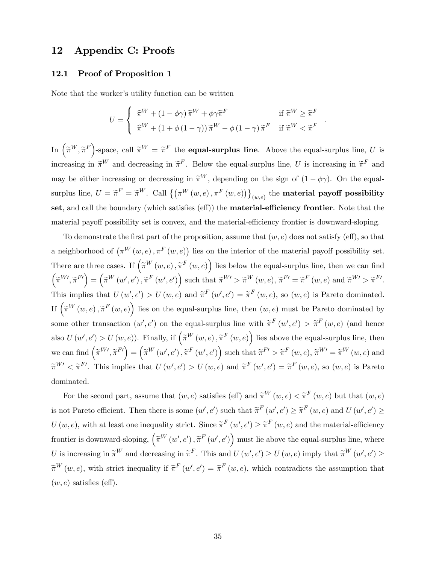# 12 Appendix C: Proofs

## 12.1 Proof of Proposition 1

Note that the worker's utility function can be written

$$
U = \begin{cases} \begin{array}{ll} \widehat{\pi}^W + (1 - \phi \gamma) \, \widetilde{\pi}^W + \phi \gamma \widetilde{\pi}^F & \text{if } \widetilde{\pi}^W \geq \widetilde{\pi}^F \\ \widehat{\pi}^W + (1 + \phi \, (1 - \gamma)) \, \widetilde{\pi}^W - \phi \, (1 - \gamma) \, \widetilde{\pi}^F & \text{if } \widetilde{\pi}^W < \widetilde{\pi}^F \end{array} \end{cases}.
$$

In  $(\tilde{\pi}^W, \tilde{\pi}^F)$ -space, call  $\tilde{\pi}^W = \tilde{\pi}^F$  the **equal-surplus line**. Above the equal-surplus line, U is increasing in  $\tilde{\pi}^W$  and decreasing in  $\tilde{\pi}^F$ . Below the equal-surplus line, U is increasing in  $\tilde{\pi}^F$  and may be either increasing or decreasing in  $\tilde{\pi}^W$ , depending on the sign of  $(1 - \phi \gamma)$ . On the equalsurplus line,  $U = \widetilde{\pi}^F = \widetilde{\pi}^W$ . Call  $\big\{ \big( \pi^W(w,e) \, , \pi^F(w,e) \big) \big\}_{(w,e)}$  the **material payoff possibility** set, and call the boundary (which satisfies (eff)) the **material-efficiency frontier**. Note that the material payoff possibility set is convex, and the material-efficiency frontier is downward-sloping.

To demonstrate the first part of the proposition, assume that  $(w, e)$  does not satisfy (eff), so that a neighborhood of  $(\pi^W(w, e), \pi^F(w, e))$  lies on the interior of the material payoff possibility set. There are three cases. If  $\left(\widetilde{\pi}^W(w,e),\widetilde{\pi}^F(w,e)\right)$  lies below the equal-surplus line, then we can find  $\left(\widetilde{\pi}^{W\prime},\widetilde{\pi}^{F\prime}\right)=\left(\widetilde{\pi}^{W}\left(w',e'\right),\widetilde{\pi}^{F}\left(w',e'\right)\right)\text{ such that }\widetilde{\pi}^{W\prime}>\widetilde{\pi}^{W}\left(w,e\right),\widetilde{\pi}^{F\prime}=\widetilde{\pi}^{F}\left(w,e\right)\text{ and }\widetilde{\pi}^{W\prime}>\widetilde{\pi}^{F\prime}.$ This implies that  $U(w', e') > U(w, e)$  and  $\tilde{\pi}^F(w', e') = \tilde{\pi}^F(w, e)$ , so  $(w, e)$  is Pareto dominated. If  $\left(\widetilde{\pi}^W(w,e),\widetilde{\pi}^F(w,e)\right)$  lies on the equal-surplus line, then  $(w,e)$  must be Pareto dominated by some other transaction  $(w', e')$  on the equal-surplus line with  $\tilde{\pi}^F(w', e') > \tilde{\pi}^F(w, e)$  (and hence also  $U(w', e') > U(w, e)$ ). Finally, if  $\left(\tilde{\pi}^W(w, e), \tilde{\pi}^F(w, e)\right)$  lies above the equal-surplus line, then  $\mathbf{w}$ e can find  $(\widetilde{\pi}^{W\prime}, \widetilde{\pi}^{F\prime}) = (\widetilde{\pi}^{W}(w', e'), \widetilde{\pi}^{F}(w', e'))$  such that  $\widetilde{\pi}^{F\prime} > \widetilde{\pi}^{F}(w, e), \widetilde{\pi}^{W\prime} = \widetilde{\pi}^{W}(w, e)$  and  $\widetilde{\pi}^{W} < \widetilde{\pi}^{F'}$ . This implies that  $U(w', e') > U(w, e)$  and  $\widetilde{\pi}^{F}(w', e') = \widetilde{\pi}^{F}(w, e)$ , so  $(w, e)$  is Pareto dominated.

For the second part, assume that  $(w, e)$  satisfies (eff) and  $\tilde{\pi}^W(w, e) < \tilde{\pi}^F(w, e)$  but that  $(w, e)$ is not Pareto efficient. Then there is some  $(w', e')$  such that  $\tilde{\pi}^F(w', e') \geq \tilde{\pi}^F(w, e)$  and  $U(w', e') \geq$  $U(w, e)$ , with at least one inequality strict. Since  $\tilde{\pi}^F(w', e') \geq \tilde{\pi}^F(w, e)$  and the material-efficiency frontier is downward-sloping,  $(\widetilde{\pi}^W(w', e'), \widetilde{\pi}^F(w', e'))$  must lie above the equal-surplus line, where U is increasing in  $\widetilde{\pi}^W$  and decreasing in  $\widetilde{\pi}^F$ . This and  $U(w', e') \ge U(w, e)$  imply that  $\widetilde{\pi}^W(w', e') \ge$  $\widetilde{\pi}^W(w, e)$ , with strict inequality if  $\widetilde{\pi}^F(w', e') = \widetilde{\pi}^F(w, e)$ , which contradicts the assumption that  $(w, e)$  satisfies (eff).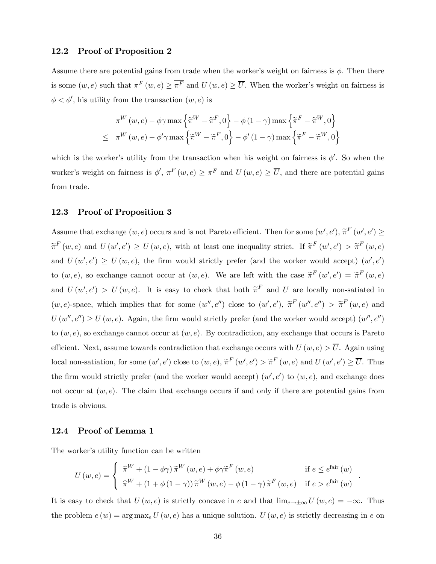## 12.2 Proof of Proposition 2

Assume there are potential gains from trade when the worker's weight on fairness is  $\phi$ . Then there is some  $(w, e)$  such that  $\pi^F(w, e) \geq \overline{\pi^F}$  and  $U(w, e) \geq \overline{U}$ . When the worker's weight on fairness is  $\phi < \phi'$ , his utility from the transaction  $(w, e)$  is

$$
\pi^{W}(w, e) - \phi \gamma \max \left\{ \tilde{\pi}^{W} - \tilde{\pi}^{F}, 0 \right\} - \phi (1 - \gamma) \max \left\{ \tilde{\pi}^{F} - \tilde{\pi}^{W}, 0 \right\}
$$
  

$$
\leq \pi^{W}(w, e) - \phi' \gamma \max \left\{ \tilde{\pi}^{W} - \tilde{\pi}^{F}, 0 \right\} - \phi' (1 - \gamma) \max \left\{ \tilde{\pi}^{F} - \tilde{\pi}^{W}, 0 \right\}
$$

which is the worker's utility from the transaction when his weight on fairness is  $\phi'$ . So when the worker's weight on fairness is  $\phi', \pi^F(w, e) \ge \overline{\pi^F}$  and  $U(w, e) \ge \overline{U}$ , and there are potential gains from trade.

## 12.3 Proof of Proposition 3

Assume that exchange  $(w, e)$  occurs and is not Pareto efficient. Then for some  $(w', e'), \tilde{\pi}^F(w', e') \ge$  $\widetilde{\pi}^F(w, e)$  and  $U(w', e') \geq U(w, e)$ , with at least one inequality strict. If  $\widetilde{\pi}^F(w', e') > \widetilde{\pi}^F(w, e)$ and  $U(w', e') \ge U(w, e)$ , the firm would strictly prefer (and the worker would accept)  $(w', e')$ to  $(w, e)$ , so exchange cannot occur at  $(w, e)$ . We are left with the case  $\tilde{\pi}^F(w', e') = \tilde{\pi}^F(w, e)$ and  $U(w', e') > U(w, e)$ . It is easy to check that both  $\tilde{\pi}^F$  and U are locally non-satiated in  $(w, e)$ -space, which implies that for some  $(w'', e'')$  close to  $(w', e'), \tilde{\pi}^F(w'', e'') > \tilde{\pi}^F(w, e)$  and  $U(w'', e'') \ge U(w, e)$ . Again, the firm would strictly prefer (and the worker would accept)  $(w'', e'')$ to  $(w, e)$ , so exchange cannot occur at  $(w, e)$ . By contradiction, any exchange that occurs is Pareto efficient. Next, assume towards contradiction that exchange occurs with  $U(w, e) > \overline{U}$ . Again using local non-satiation, for some  $(w', e')$  close to  $(w, e), \tilde{\pi}^F(w', e') > \tilde{\pi}^F(w, e)$  and  $U(w', e') \geq \overline{U}$ . Thus the firm would strictly prefer (and the worker would accept)  $(w', e')$  to  $(w, e)$ , and exchange does not occur at  $(w, e)$ . The claim that exchange occurs if and only if there are potential gains from trade is obvious.

## 12.4 Proof of Lemma 1

The worker's utility function can be written

$$
U(w, e) = \begin{cases} \begin{array}{ll} \hat{\pi}^{W} + (1 - \phi\gamma)\,\tilde{\pi}^{W}(w, e) + \phi\gamma\tilde{\pi}^{F}(w, e) & \text{if } e \leq e^{\text{fair}}(w) \\ \hat{\pi}^{W} + (1 + \phi(1 - \gamma))\,\tilde{\pi}^{W}(w, e) - \phi(1 - \gamma)\,\tilde{\pi}^{F}(w, e) & \text{if } e > e^{\text{fair}}(w) \end{array} \end{cases}
$$

.

It is easy to check that  $U(w, e)$  is strictly concave in e and that  $\lim_{e\to\pm\infty}U(w, e) = -\infty$ . Thus the problem  $e(w) = \arg \max_e U(w, e)$  has a unique solution.  $U(w, e)$  is strictly decreasing in e on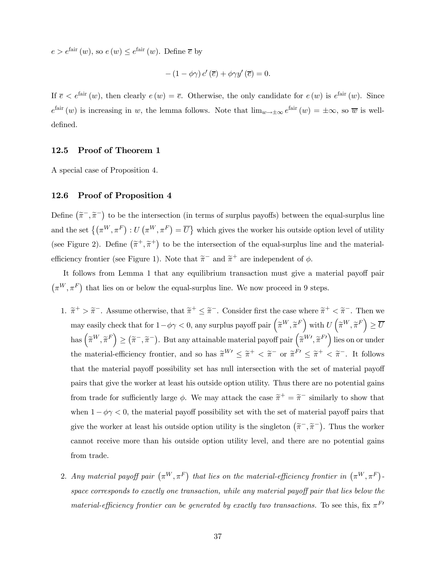$e > e^{\text{fair}}(w)$ , so  $e(w) \leq e^{\text{fair}}(w)$ . Define  $\overline{e}$  by

$$
-(1-\phi\gamma) c'(\overline{e}) + \phi\gamma y'(\overline{e}) = 0.
$$

If  $\overline{e} < e^{\text{fair}}(w)$ , then clearly  $e(w) = \overline{e}$ . Otherwise, the only candidate for  $e(w)$  is  $e^{\text{fair}}(w)$ . Since  $e^{\text{fair}}(w)$  is increasing in w, the lemma follows. Note that  $\lim_{w\to\pm\infty}e^{\text{fair}}(w) = \pm\infty$ , so  $\overline{w}$  is welldefined.

## 12.5 Proof of Theorem 1

A special case of Proposition 4.

## 12.6 Proof of Proposition 4

Define  $(\tilde{\pi}^-, \tilde{\pi}^-)$  to be the intersection (in terms of surplus payoffs) between the equal-surplus line and the set  $\{(\pi^W, \pi^F) : U(\pi^W, \pi^F) = \overline{U}\}\$  which gives the worker his outside option level of utility (see Figure 2). Define  $(\tilde{\pi}^+, \tilde{\pi}^+)$  to be the intersection of the equal-surplus line and the materialefficiency frontier (see Figure 1). Note that  $\tilde{\pi}^-$  and  $\tilde{\pi}^+$  are independent of  $\phi$ .

It follows from Lemma 1 that any equilibrium transaction must give a material payoff pair  $(\pi^W, \pi^F)$  that lies on or below the equal-surplus line. We now proceed in 9 steps.

- 1.  $\tilde{\pi}^+ > \tilde{\pi}^-$ . Assume otherwise, that  $\tilde{\pi}^+ \leq \tilde{\pi}^-$ . Consider first the case where  $\tilde{\pi}^+ < \tilde{\pi}^-$ . Then we may easily check that for  $1 - \phi \gamma < 0$ , any surplus payoff pair  $(\tilde{\pi}^W, \tilde{\pi}^F)$  with  $U(\tilde{\pi}^W, \tilde{\pi}^F) \ge \overline{U}$  $\left(\widetilde{\pi}^W, \widetilde{\pi}^F\right) \geq \left(\widetilde{\pi}^-, \widetilde{\pi}^-\right)$ . But any attainable material payoff pair  $\left(\widetilde{\pi}^{W\prime}, \widetilde{\pi}^{F\prime}\right)$  lies on or under the material-efficiency frontier, and so has  $\widetilde{\pi}^{W} \leq \widetilde{\pi}^+ < \widetilde{\pi}^-$  or  $\widetilde{\pi}^{F'} \leq \widetilde{\pi}^+ < \widetilde{\pi}^-$ . It follows that the material payoff possibility set has null intersection with the set of material payoff pairs that give the worker at least his outside option utility. Thus there are no potential gains from trade for sufficiently large  $\phi$ . We may attack the case  $\tilde{\pi}^+ = \tilde{\pi}^-$  similarly to show that when  $1 - \phi \gamma < 0$ , the material payoff possibility set with the set of material payoff pairs that give the worker at least his outside option utility is the singleton  $(\tilde{\pi}^-,\tilde{\pi}^-)$ . Thus the worker cannot receive more than his outside option utility level, and there are no potential gains from trade.
- 2. Any material payoff pair  $(\pi^W, \pi^F)$  that lies on the material-efficiency frontier in  $(\pi^W, \pi^F)$ space corresponds to exactly one transaction, while any material payoff pair that lies below the material-efficiency frontier can be generated by exactly two transactions. To see this, fix  $\pi^{F}$ <sup> $\ell$ </sup>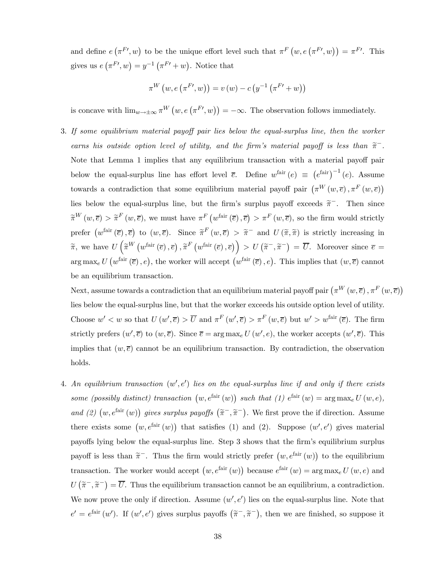and define  $e(\pi^{F}y, w)$  to be the unique effort level such that  $\pi^{F}(w, e(\pi^{F}y, w)) = \pi^{F}y$ . This gives us  $e(\pi^{F}y, w) = y^{-1}(\pi^{F}y + w)$ . Notice that

$$
\pi^{W}(w, e(\pi^{F'}, w)) = v(w) - c(y^{-1}(\pi^{F'} + w))
$$

is concave with  $\lim_{w\to\pm\infty} \pi^W(w, e(\pi^{F'} , w)) = -\infty$ . The observation follows immediately.

3. If some equilibrium material payoff pair lies below the equal-surplus line, then the worker earns his outside option level of utility, and the firm's material payoff is less than  $\tilde{\pi}^-$ . Note that Lemma 1 implies that any equilibrium transaction with a material payoff pair below the equal-surplus line has effort level  $\bar{e}$ . Define  $w^{\text{fair}}(e) \equiv (e^{\text{fair}})^{-1}(e)$ . Assume towards a contradiction that some equilibrium material payoff pair  $(\pi^W(w, \overline{e}), \pi^F(w, \overline{e}))$ lies below the equal-surplus line, but the firm's surplus payoff exceeds  $\tilde{\pi}^-$ . Then since  $\widetilde{\pi}^W(w,\overline{e})$  >  $\widetilde{\pi}^F(w,\overline{e})$ , we must have  $\pi^F(w^{\text{fair}}(\overline{e}), \overline{e})$  >  $\pi^F(w,\overline{e})$ , so the firm would strictly prefer  $(w^{\text{fair}}(\overline{e}), \overline{e})$  to  $(w, \overline{e})$ . Since  $\tilde{\pi}^F(w, \overline{e}) > \tilde{\pi}^-$  and  $U(\tilde{\pi}, \tilde{\pi})$  is strictly increasing in  $\widetilde{\pi}$ , we have  $U\left(\widetilde{\pi}^W\left(w^{\text{fair}}\left(\overline{e}\right), \overline{e}\right), \widetilde{\pi}^F\left(w^{\text{fair}}\left(\overline{e}\right), \overline{e}\right)\right) > U\left(\widetilde{\pi}^-, \widetilde{\pi}^-\right) = \overline{U}$ . Moreover since  $\overline{e} =$  $\arg \max_{e} U\left(w^{\text{fair}}\left(\overline{e}\right), e\right)$ , the worker will accept  $\left(w^{\text{fair}}\left(\overline{e}\right), e\right)$ . This implies that  $(w, \overline{e})$  cannot be an equilibrium transaction.

Next, assume towards a contradiction that an equilibrium material payoff pair  $(\pi^W(w, \overline{e}), \pi^F(w, \overline{e}))$ lies below the equal-surplus line, but that the worker exceeds his outside option level of utility. Choose  $w' < w$  so that  $U(w', \overline{e}) > \overline{U}$  and  $\pi^F(w', \overline{e}) > \pi^F(w, \overline{e})$  but  $w' > w^{\text{fair}}(\overline{e})$ . The firm strictly prefers  $(w', \overline{e})$  to  $(w, \overline{e})$ . Since  $\overline{e} = \arg \max_{e} U(w', e)$ , the worker accepts  $(w', \overline{e})$ . This implies that  $(w, \overline{e})$  cannot be an equilibrium transaction. By contradiction, the observation holds.

4. An equilibrium transaction  $(w', e')$  lies on the equal-surplus line if and only if there exists some (possibly distinct) transaction  $(w, e^{\text{fair}}(w))$  such that (1)  $e^{\text{fair}}(w) = \arg \max_{e} U(w, e)$ , and (2)  $(w, e^{fair}(w))$  gives surplus payoffs  $(\tilde{\pi}^-, \tilde{\pi}^-)$ . We first prove the if direction. Assume there exists some  $(w, e^{\text{fair}}(w))$  that satisfies (1) and (2). Suppose  $(w', e')$  gives material payoffs lying below the equal-surplus line. Step 3 shows that the firm's equilibrium surplus payoff is less than  $\tilde{\pi}^-$ . Thus the firm would strictly prefer  $(w, e^{i\pi i} (w))$  to the equilibrium transaction. The worker would accept  $(w, e^{\text{fair}}(w))$  because  $e^{\text{fair}}(w) = \arg \max_{e} U(w, e)$  and  $U(\tilde{\pi}^-, \tilde{\pi}^-) = \overline{U}$ . Thus the equilibrium transaction cannot be an equilibrium, a contradiction. We now prove the only if direction. Assume  $(w', e')$  lies on the equal-surplus line. Note that  $e' = e^{\text{fair}}(w')$ . If  $(w', e')$  gives surplus payoffs  $(\tilde{\pi}^-, \tilde{\pi}^-)$ , then we are finished, so suppose it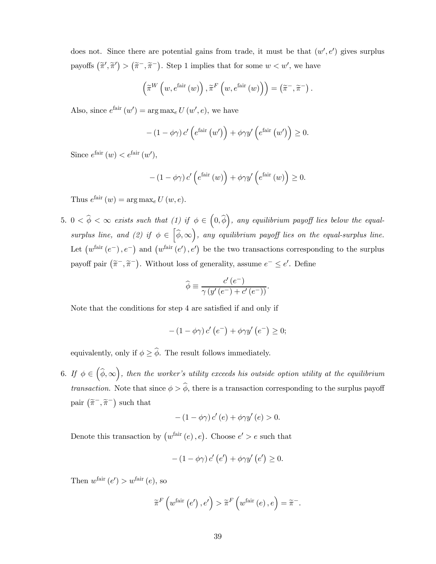does not. Since there are potential gains from trade, it must be that  $(w', e')$  gives surplus payoffs  $(\tilde{\pi}', \tilde{\pi}') > (\tilde{\pi}^-, \tilde{\pi}^-)$ . Step 1 implies that for some  $w < w'$ , we have

$$
\left(\widetilde{\pi}^{W}\left(w,e^{\mathrm{fair}}\left(w\right)\right),\widetilde{\pi}^{F}\left(w,e^{\mathrm{fair}}\left(w\right)\right)\right)=\left(\widetilde{\pi}^{-},\widetilde{\pi}^{-}\right).
$$

Also, since  $e^{\text{fair}}(w') = \arg \max_{e} U(w', e)$ , we have

$$
-(1 - \phi\gamma) c' \left(e^{\text{fair}} (w')\right) + \phi\gamma y' \left(e^{\text{fair}} (w')\right) \ge 0.
$$

Since  $e^{\text{fair}}(w) < e^{\text{fair}}(w')$ ,

$$
-\left(1-\phi\gamma\right)c'\left(e^{\text{fair}}\left(w\right)\right)+\phi\gamma y'\left(e^{\text{fair}}\left(w\right)\right)\geq 0.
$$

Thus  $e^{\text{fair}}(w) = \arg \max_{e} U(w, e)$ .

 $5. \ \ 0 < \widehat{\phi} < \infty$  exists such that  $(1)$  if  $\phi \in (0, \widehat{\phi})$ , any equilibrium payoff lies below the equalsurplus line, and (2) if  $\phi \in [\hat{\phi}, \infty)$ , any equilibrium payoff lies on the equal-surplus line. Let  $(w^{\text{fair}}(e^-), e^-)$  and  $(w^{\text{fair}}(e'), e')$  be the two transactions corresponding to the surplus payoff pair  $(\tilde{\pi}^-, \tilde{\pi}^-)$ . Without loss of generality, assume  $e^- \le e'$ . Define

$$
\widehat{\phi} \equiv \frac{c'(e^-)}{\gamma (y'(e^-) + c'(e^-))}.
$$

Note that the conditions for step 4 are satisfied if and only if

$$
-(1-\phi\gamma) c'\left(e^{-}\right)+\phi\gamma y'\left(e^{-}\right)\geq 0;
$$

equivalently, only if  $\phi \geq \hat{\phi}$ . The result follows immediately.

6. If  $\phi \in (\widehat{\phi}, \infty)$ , then the worker's utility exceeds his outside option utility at the equilibrium *transaction.* Note that since  $\phi > \hat{\phi}$ , there is a transaction corresponding to the surplus payoff pair  $(\tilde{\pi}^-,\tilde{\pi}^-)$  such that

$$
-(1-\phi\gamma) c'(e) + \phi\gamma y'(e) > 0.
$$

Denote this transaction by  $(w^{\text{fair}}(e), e)$ . Choose  $e' > e$  such that

$$
-(1-\phi\gamma) c'\left(e'\right)+\phi\gamma y'\left(e'\right)\geq 0.
$$

Then  $w^{\text{fair}}(e') > w^{\text{fair}}(e)$ , so

$$
\widetilde{\pi}^{F}\left(w^{\text{fair}}\left(e'\right), e'\right) > \widetilde{\pi}^{F}\left(w^{\text{fair}}\left(e\right), e\right) = \widetilde{\pi}^{-}.
$$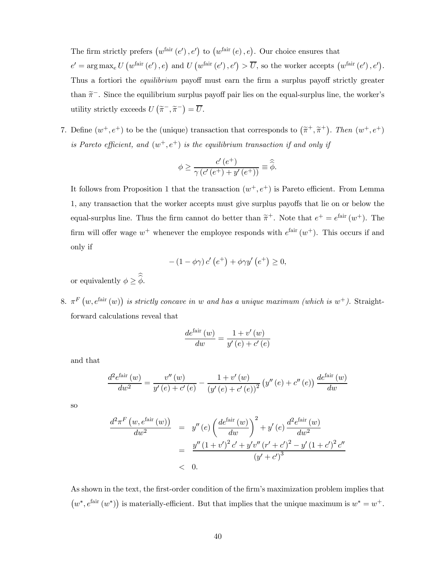The firm strictly prefers  $(w^{\text{fair}}(e'), e')$  to  $(w^{\text{fair}}(e), e)$ . Our choice ensures that

 $e' = \arg \max_{e} U (w^{\text{fair}}(e'), e) \text{ and } U (w^{\text{fair}}(e'), e') > \overline{U}, \text{ so the worker accepts } (w^{\text{fair}}(e'), e').$ Thus a fortiori the *equilibrium* payoff must earn the firm a surplus payoff strictly greater than  $\tilde{\pi}^-$ . Since the equilibrium surplus payoff pair lies on the equal-surplus line, the worker's utility strictly exceeds  $U\left(\tilde{\pi}^{-}, \tilde{\pi}^{-}\right) = \overline{U}.$ 

7. Define  $(w^+, e^+)$  to be the (unique) transaction that corresponds to  $(\tilde{\pi}^+, \tilde{\pi}^+)$ . Then  $(w^+, e^+)$ is Pareto efficient, and  $(w^+, e^+)$  is the equilibrium transaction if and only if

$$
\phi \ge \frac{c'(e^+)}{\gamma (c'(e^+) + y'(e^+))} \equiv \widehat{\widehat{\phi}}.
$$

It follows from Proposition 1 that the transaction  $(w^+, e^+)$  is Pareto efficient. From Lemma 1, any transaction that the worker accepts must give surplus payoffs that lie on or below the equal-surplus line. Thus the firm cannot do better than  $\tilde{\pi}^+$ . Note that  $e^+ = e^{\text{fair}}(w^+)$ . The firm will offer wage  $w^+$  whenever the employee responds with  $e^{fair}(w^+)$ . This occurs if and only if

$$
-(1-\phi\gamma) c'\left(e^+\right)+\phi\gamma y'\left(e^+\right)\geq 0,
$$

or equivalently  $\phi \geq \phi$ .

8.  $\pi^F(w, e^{\text{fair}}(w))$  is strictly concave in w and has a unique maximum (which is w<sup>+</sup>). Straightforward calculations reveal that

$$
\frac{de^{\text{fair}}\left(w\right)}{dw} = \frac{1 + v'\left(w\right)}{y'\left(e\right) + c'\left(e\right)}
$$

and that

$$
\frac{d^{2}e^{\text{fair}}(w)}{dw^{2}} = \frac{v''(w)}{y'(e) + c'(e)} - \frac{1 + v'(w)}{(y'(e) + c'(e))^{2}} (y''(e) + c''(e)) \frac{de^{\text{fair}}(w)}{dw}
$$

so

$$
\frac{d^2\pi^F(w, e^{\text{fair}}(w))}{dw^2} = y''(e) \left(\frac{de^{\text{fair}}(w)}{dw}\right)^2 + y'(e) \frac{d^2e^{\text{fair}}(w)}{dw^2}
$$

$$
= \frac{y''(1+v')^2c' + y'v''(r'+c')^2 - y'(1+c')^2c''}{(y'+c')^3}
$$

$$
< 0.
$$

As shown in the text, the first-order condition of the firm's maximization problem implies that  $(w^*, e^{\text{fair}}(w^*))$  is materially-efficient. But that implies that the unique maximum is  $w^* = w^+$ .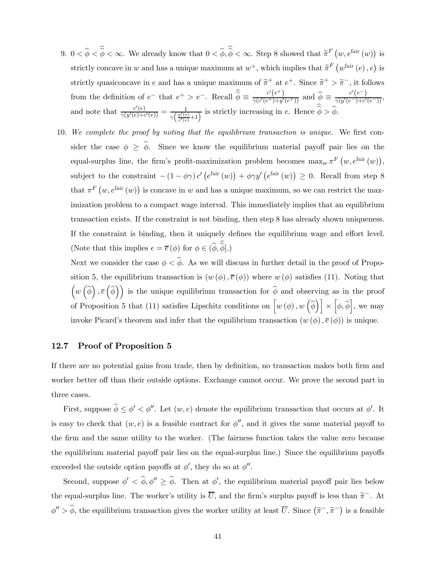- 9.  $0 < \hat{\phi} < \hat{\phi} < \infty$ . We already know that  $0 < \hat{\phi}, \hat{\phi} < \infty$ . Step 8 showed that  $\tilde{\pi}^F(w, e^{\text{fair}}(w))$  is strictly concave in w and has a unique maximum at  $w^+$ , which implies that  $\widetilde{\pi}^F(w^{\text{fair}}(e), e)$  is strictly quasiconcave in e and has a unique maximum of  $\tilde{\pi}^+$  at  $e^+$ . Since  $\tilde{\pi}^+ > \tilde{\pi}^-$ , it follows from the definition of  $e^-$  that  $e^+ > e^-$ . Recall  $\hat{\hat{\phi}} \equiv \frac{c'(e^+)}{\gamma(c'(e^+) + y'(e^+))}$  and  $\hat{\phi} \equiv \frac{c'(e^-)}{\gamma(y'(e^-) + c'(e^-))}$ , and note that  $\frac{c'(e)}{\gamma(y'(e)+c'(e))} = \frac{1}{\gamma(\frac{y'(e)}{c'(e)}+1)}$  is strictly increasing in e. Hence  $\hat{\phi} > \hat{\phi}$ .
- 10. We complete the proof by noting that the equilibrium transaction is unique. We first consider the case  $\phi \geq \hat{\phi}$ . Since we know the equilibrium material payoff pair lies on the equal-surplus line, the firm's profit-maximization problem becomes  $\max_{w} \pi^F(w, e^{\text{fair}}(w)),$ subject to the constraint  $-(1 - \phi \gamma) c' (e^{\text{fair}}(w)) + \phi \gamma y' (e^{\text{fair}}(w)) \geq 0$ . Recall from step 8 that  $\pi^F(w, e^{\text{fair}}(w))$  is concave in w and has a unique maximum, so we can restrict the maximization problem to a compact wage interval. This immediately implies that an equilibrium transaction exists. If the constraint is not binding, then step 8 has already shown uniqueness. If the constraint is binding, then it uniquely defines the equilibrium wage and effort level. (Note that this implies  $e = \overline{e}(\phi)$  for  $\phi \in (\phi, \phi]$ .)

Next we consider the case  $\phi < \hat{\phi}$ . As we will discuss in further detail in the proof of Proposition 5, the equilibrium transaction is  $(w(\phi), \bar{e}(\phi))$  where  $w(\phi)$  satisfies (11). Noting that  $(w(\hat{\phi}), \bar{e}(\hat{\phi}))$  is the unique equilibrium transaction for  $\hat{\phi}$  and observing as in the proof of Proposition 5 that (11) satisfies Lipschitz conditions on  $\left[w(\phi), w(\hat{\phi})\right] \times \left[\phi, \hat{\phi}\right]$ , we may invoke Picard's theorem and infer that the equilibrium transaction  $(w(\phi), \overline{e}(\phi))$  is unique.

## 12.7 Proof of Proposition 5

If there are no potential gains from trade, then by definition, no transaction makes both firm and worker better off than their outside options. Exchange cannot occur. We prove the second part in three cases.

First, suppose  $\phi \le \phi' < \phi''$ . Let  $(w, e)$  denote the equilibrium transaction that occurs at  $\phi'$ . It is easy to check that  $(w, e)$  is a feasible contract for  $\phi''$ , and it gives the same material payoff to the firm and the same utility to the worker. (The fairness function takes the value zero because the equilibrium material payoff pair lies on the equal-surplus line.) Since the equilibrium payoffs exceeded the outside option payoffs at  $\phi'$ , they do so at  $\phi''$ .

Second, suppose  $\phi' < \phi, \phi'' \ge \phi$ . Then at  $\phi'$ , the equilibrium material payoff pair lies below the equal-surplus line. The worker's utility is  $\overline{U}$ , and the firm's surplus payoff is less than  $\widetilde{\pi}^-$ . At  $\phi'' > \hat{\phi}$ , the equilibrium transaction gives the worker utility at least  $\overline{U}$ . Since  $(\tilde{\pi}^-, \tilde{\pi}^-)$  is a feasible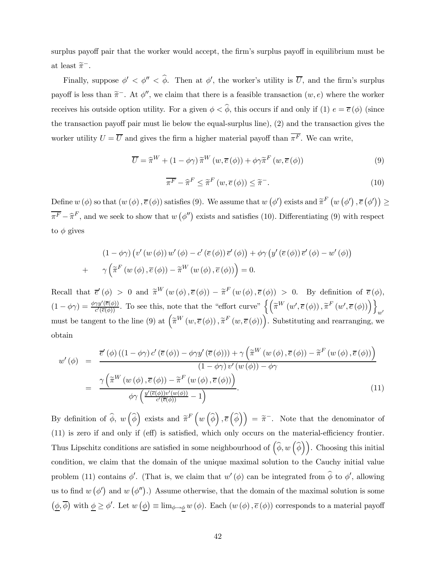surplus payoff pair that the worker would accept, the firm's surplus payoff in equilibrium must be at least  $\widetilde{\pi}^-$ .

Finally, suppose  $\phi' < \phi'' < \phi$ . Then at  $\phi'$ , the worker's utility is  $\overline{U}$ , and the firm's surplus payoff is less than  $\tilde{\pi}^-$ . At  $\phi''$ , we claim that there is a feasible transaction  $(w, e)$  where the worker receives his outside option utility. For a given  $\phi < \hat{\phi}$ , this occurs if and only if (1)  $e = \overline{e}(\phi)$  (since the transaction payoff pair must lie below the equal-surplus line), (2) and the transaction gives the worker utility  $U = \overline{U}$  and gives the firm a higher material payoff than  $\overline{\pi^F}$ . We can write,

$$
\overline{U} = \widehat{\pi}^{W} + (1 - \phi\gamma)\,\widetilde{\pi}^{W}\left(w, \overline{e}\left(\phi\right)\right) + \phi\gamma\widetilde{\pi}^{F}\left(w, \overline{e}\left(\phi\right)\right) \tag{9}
$$

$$
\overline{\pi^F} - \widehat{\pi}^F \le \widetilde{\pi}^F \left( w, \overline{e} \left( \phi \right) \right) \le \widetilde{\pi}^-.
$$
\n(10)

Define  $w(\phi)$  so that  $(w(\phi), \bar{e}(\phi))$  satisfies (9). We assume that  $w(\phi')$  exists and  $\tilde{\pi}^F(w(\phi'), \bar{e}(\phi')) \ge$  $\overline{\pi^F} - \hat{\pi}^F$ , and we seek to show that  $w(\phi'')$  exists and satisfies (10). Differentiating (9) with respect to  $\phi$  gives

$$
(1 - \phi\gamma) \left( v' \left( w \left( \phi \right) \right) w' \left( \phi \right) - c' \left( \overline{e} \left( \phi \right) \right) \overline{e}' \left( \phi \right) \right) + \phi\gamma \left( y' \left( \overline{e} \left( \phi \right) \right) \overline{e}' \left( \phi \right) - w' \left( \phi \right) \right) + \gamma \left( \widetilde{\pi}^F \left( w \left( \phi \right), \overline{e} \left( \phi \right) \right) - \widetilde{\pi}^W \left( w \left( \phi \right), \overline{e} \left( \phi \right) \right) \right) = 0.
$$

Recall that  $\bar{e}'(\phi) > 0$  and  $\tilde{\pi}^W(w(\phi), \bar{e}(\phi)) - \tilde{\pi}^F(w(\phi), \bar{e}(\phi)) > 0$ . By definition of  $\bar{e}(\phi)$ ,  $(1 - \phi \gamma) = \frac{\phi \gamma y'(\overline{e}(\phi))}{c'(\overline{e}(\phi))}$ . To see this, note that the "effort curve"  $\left\{ \left( \widetilde{\pi}^W \left( w', \overline{e}(\phi) \right), \widetilde{\pi}^F \left( w', \overline{e}(\phi) \right) \right) \right\}_{w'}$ must be tangent to the line (9) at  $(\widetilde{\pi}^W(w,\overline{e}(\phi)),\widetilde{\pi}^F(w,\overline{e}(\phi)))$ . Substituting and rearranging, we obtain

$$
w'(\phi) = \frac{\overline{e}'(\phi)((1-\phi\gamma)c'(\overline{e}(\phi)) - \phi\gamma y'(\overline{e}(\phi))) + \gamma \left(\widetilde{\pi}^W(w(\phi), \overline{e}(\phi)) - \widetilde{\pi}^F(w(\phi), \overline{e}(\phi))\right)}{(1-\phi\gamma)v'(w(\phi)) - \phi\gamma}
$$
  

$$
= \frac{\gamma \left(\widetilde{\pi}^W(w(\phi), \overline{e}(\phi)) - \widetilde{\pi}^F(w(\phi), \overline{e}(\phi))\right)}{\phi\gamma \left(\frac{y'(\overline{e}(\phi))v'(w(\phi))}{c'(\overline{e}(\phi))} - 1\right)}.
$$
(11)

By definition of  $\widehat{\phi}$ ,  $w\left(\widehat{\phi}\right)$  exists and  $\widetilde{\pi}^F\left(w\left(\widehat{\phi}\right), \overline{e}\left(\widehat{\phi}\right)\right) = \widetilde{\pi}^-$ . Note that the denominator of (11) is zero if and only if (eff) is satisfied, which only occurs on the material-efficiency frontier. Thus Lipschitz conditions are satisfied in some neighbourhood of  $(\widehat{\phi}, w(\widehat{\phi}))$ . Choosing this initial condition, we claim that the domain of the unique maximal solution to the Cauchy initial value problem (11) contains  $\phi'$ . (That is, we claim that  $w'(\phi)$  can be integrated from  $\phi$  to  $\phi'$ , allowing us to find  $w(\phi')$  and  $w(\phi'')$ .) Assume otherwise, that the domain of the maximal solution is some  $(\underline{\phi}, \overline{\phi})$  with  $\underline{\phi} \ge \phi'$ . Let  $w(\underline{\phi}) \equiv \lim_{\phi \to \underline{\phi}} w(\phi)$ . Each  $(w(\phi), \overline{e}(\phi))$  corresponds to a material payoff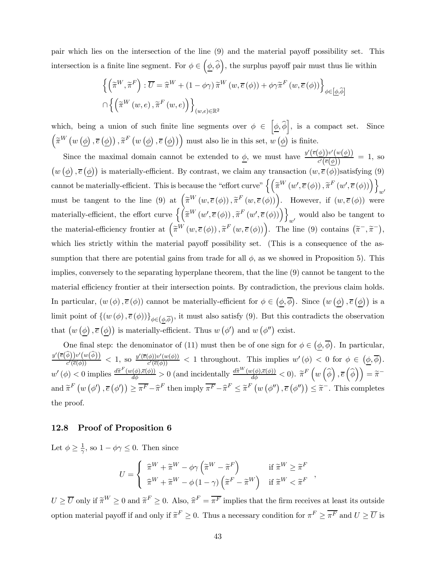pair which lies on the intersection of the line (9) and the material payoff possibility set. This intersection is a finite line segment. For  $\phi \in (\underline{\phi}, \widehat{\phi})$ , the surplus payoff pair must thus lie within

$$
\left\{ \left( \widetilde{\pi}^{W}, \widetilde{\pi}^{F} \right) : \overline{U} = \widehat{\pi}^{W} + (1 - \phi\gamma) \widetilde{\pi}^{W} \left( w, \overline{e} \left( \phi \right) \right) + \phi\gamma\widetilde{\pi}^{F} \left( w, \overline{e} \left( \phi \right) \right) \right\}_{\phi \in \left[ \underline{\phi}, \widehat{\phi} \right]}
$$

$$
\cap \left\{ \left( \widetilde{\pi}^{W} \left( w, e \right), \widetilde{\pi}^{F} \left( w, e \right) \right) \right\}_{(w,e) \in \mathbb{R}^{2}}
$$

which, being a union of such finite line segments over  $\phi \in \left[\underline{\phi}, \widehat{\phi}\right]$ , is a compact set. Since  $\left(\widetilde{\pi}^W\left(w\left(\underline{\phi}\right), \overline{e}\left(\underline{\phi}\right)\right), \widetilde{\pi}^F\left(w\left(\underline{\phi}\right), \overline{e}\left(\underline{\phi}\right)\right)\right)$  must also lie in this set,  $w\left(\underline{\phi}\right)$  is finite.

Since the maximal domain cannot be extended to  $\phi$ , we must have  $\frac{y'(\overline{e}(\phi))v'(w(\phi))}{\phi(\overline{e}(\phi))}$  $\frac{\sqrt{\varphi}}{c'(\overline{e}(\phi))}$  = 1, so  $(w(\phi), \bar{e}(\phi))$  is materially-efficient. By contrast, we claim any transaction  $(w, \bar{e}(\phi))$  satisfying (9) cannot be materially-efficient. This is because the "effort curve"  $\left\{ \left( \widetilde{\pi}^W \left( w', \overline{e} \left( \phi \right) \right), \widetilde{\pi}^F \left( w', \overline{e} \left( \phi \right) \right) \right) \right\}$ must be tangent to the line (9) at  $\left(\widetilde{\pi}^W(w,\overline{e}(\phi)),\widetilde{\pi}^F(w,\overline{e}(\phi))\right)$ . However, if  $(w,\overline{e}(\phi))$  were materially-efficient, the effort curve  $\left\{ \left( \tilde{\pi}^W \left( w', \overline{e}(\phi) \right), \tilde{\pi}^F \left( w', \overline{e}(\phi) \right) \right) \right\}_{w'}$  would also be tangent to the material-efficiency frontier at  $(\tilde{\pi}^W(w,\overline{e}(\phi)),\tilde{\pi}^F(w,\overline{e}(\phi)))$ . The line (9) contains  $(\tilde{\pi}^-, \tilde{\pi}^-)$ , which lies strictly within the material payoff possibility set. (This is a consequence of the assumption that there are potential gains from trade for all  $\phi$ , as we showed in Proposition 5). This implies, conversely to the separating hyperplane theorem, that the line (9) cannot be tangent to the material efficiency frontier at their intersection points. By contradiction, the previous claim holds. In particular,  $(w(\phi), \bar{e}(\phi))$  cannot be materially-efficient for  $\phi \in (\underline{\phi}, \bar{\phi})$ . Since  $(w(\underline{\phi}), \bar{e}(\underline{\phi}))$  is a limit point of  $\{(w(\phi), \overline{e}(\phi))\}_{\phi \in (\underline{\phi}, \overline{\phi})}$ , it must also satisfy (9). But this contradicts the observation that  $(w(\phi), \bar{e}(\phi))$  is materially-efficient. Thus  $w(\phi')$  and  $w(\phi'')$  exist.

One final step: the denominator of (11) must then be of one sign for  $\phi \in (\underline{\phi}, \overline{\phi})$ . In particular,  $\frac{y'(\overline{e}(\widehat{\phi}))v'(w(\widehat{\phi}))}{c'(\overline{e}(\phi))} < 1$ , so  $\frac{y'(\overline{e}(\phi))v'(w(\phi))}{c'(\overline{e}(\phi))} < 1$  throughout. This implies  $w'(\phi) < 0$  for  $\phi \in (\phi, \overline{\phi})$ .  $w'(\phi) < 0$  implies  $\frac{d\widetilde{\pi}^F(w(\phi), \overline{e}(\phi))}{d\phi} > 0$  (and incidentally  $\frac{d\widetilde{\pi}^W(w(\phi), \overline{e}(\phi))}{d\phi} < 0$ ).  $\widetilde{\pi}^F(w(\widehat{\phi}), \overline{e}(\widehat{\phi})) = \widetilde{\pi}^{-1}$ and  $\tilde{\pi}^F(w(\phi'), \bar{e}(\phi')) \geq \overline{\pi^F} - \hat{\pi}^F$  then imply  $\overline{\pi^F} - \hat{\pi}^F \leq \tilde{\pi}^F(w(\phi''), \bar{e}(\phi'')) \leq \tilde{\pi}^-$ . This completes the proof.

## 12.8 Proof of Proposition 6

Let  $\phi \geq \frac{1}{\gamma}$ , so  $1 - \phi \gamma \leq 0$ . Then since

$$
U = \begin{cases} \begin{array}{c} \widehat{\pi}^{W} + \widetilde{\pi}^{W} - \phi \gamma \left( \widetilde{\pi}^{W} - \widetilde{\pi}^{F} \right) & \text{if } \widetilde{\pi}^{W} \geq \widetilde{\pi}^{F} \\ \widehat{\pi}^{W} + \widetilde{\pi}^{W} - \phi \left( 1 - \gamma \right) \left( \widetilde{\pi}^{F} - \widetilde{\pi}^{W} \right) & \text{if } \widetilde{\pi}^{W} < \widetilde{\pi}^{F} \end{array} \end{cases},
$$

 $U \ge \overline{U}$  only if  $\widetilde{\pi}^W \ge 0$  and  $\widetilde{\pi}^F \ge 0$ . Also,  $\widehat{\pi}^F = \overline{\pi}^F$  implies that the firm receives at least its outside option material payoff if and only if  $\tilde{\pi}^F \geq 0$ . Thus a necessary condition for  $\pi^F \geq \overline{\pi^F}$  and  $U \geq \overline{U}$  is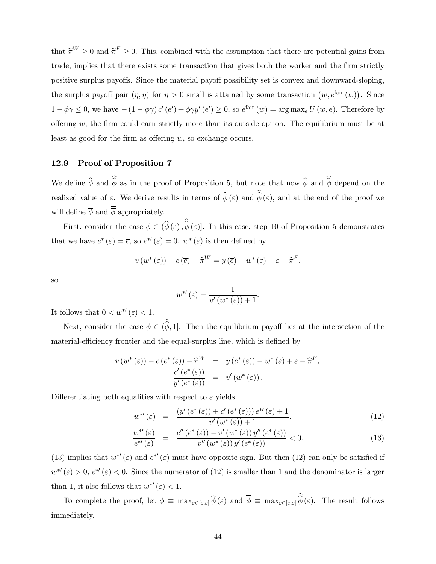that  $\tilde{\pi}^W \ge 0$  and  $\tilde{\pi}^F \ge 0$ . This, combined with the assumption that there are potential gains from trade, implies that there exists some transaction that gives both the worker and the firm strictly positive surplus payoffs. Since the material payoff possibility set is convex and downward-sloping, the surplus payoff pair  $(\eta, \eta)$  for  $\eta > 0$  small is attained by some transaction  $(w, e^{i\text{air}}(w))$ . Since  $1 - \phi \gamma \leq 0$ , we have  $-(1 - \phi \gamma) c'(e') + \phi \gamma y'(e') \geq 0$ , so  $e^{\text{fair}}(w) = \arg \max_{e} U(w, e)$ . Therefore by offering  $w$ , the firm could earn strictly more than its outside option. The equilibrium must be at least as good for the firm as offering w, so exchange occurs.

## 12.9 Proof of Proposition 7

We define  $\phi$  and  $\phi$  as in the proof of Proposition 5, but note that now  $\phi$  and  $\phi$  depend on the realized value of  $\varepsilon$ . We derive results in terms of  $\phi(\varepsilon)$  and  $\phi(\varepsilon)$ , and at the end of the proof we will define  $\phi$  and  $\phi$  appropriately.

First, consider the case  $\phi \in (\phi(\varepsilon), \phi(\varepsilon)]$ . In this case, step 10 of Proposition 5 demonstrates that we have  $e^*(\varepsilon) = \overline{e}$ , so  $e^{*\prime}(\varepsilon) = 0$ .  $w^*(\varepsilon)$  is then defined by

$$
v(w^*(\varepsilon)) - c(\overline{e}) - \widehat{\pi}^W = y(\overline{e}) - w^*(\varepsilon) + \varepsilon - \widehat{\pi}^F,
$$

so

$$
w^{*'}(\varepsilon) = \frac{1}{v'(w^*(\varepsilon)) + 1}.
$$

It follows that  $0 < w^{*'}(\varepsilon) < 1$ .

Next, consider the case  $\phi \in (\phi, 1]$ . Then the equilibrium payoff lies at the intersection of the material-efficiency frontier and the equal-surplus line, which is defined by

$$
v(w^*(\varepsilon)) - c(e^*(\varepsilon)) - \hat{\pi}^W = y(e^*(\varepsilon)) - w^*(\varepsilon) + \varepsilon - \hat{\pi}^F,
$$
  

$$
\frac{c'(e^*(\varepsilon))}{y'(e^*(\varepsilon))} = v'(w^*(\varepsilon)).
$$

Differentiating both equalities with respect to  $\varepsilon$  yields

$$
w^{*'}(\varepsilon) = \frac{(y'(e^*(\varepsilon)) + c'(e^*(\varepsilon))) e^{*'}(\varepsilon) + 1}{v'(w^*(\varepsilon)) + 1},
$$
\n(12)

$$
\frac{w^{*}(\varepsilon)}{e^{*}(\varepsilon)} = \frac{c''(e^*(\varepsilon)) - v'(w^*(\varepsilon))y''(e^*(\varepsilon))}{v''(w^*(\varepsilon))y'(e^*(\varepsilon))} < 0.
$$
\n(13)

(13) implies that  $w^{*'}(\varepsilon)$  and  $e^{*'}(\varepsilon)$  must have opposite sign. But then (12) can only be satisfied if  $w^{*'}(\varepsilon) > 0$ ,  $e^{*'}(\varepsilon) < 0$ . Since the numerator of (12) is smaller than 1 and the denominator is larger than 1, it also follows that  $w^{*'}(\varepsilon) < 1$ .

To complete the proof, let  $\phi \equiv \max_{\varepsilon \in [\underline{\varepsilon}, \overline{\varepsilon}]} \phi(\varepsilon)$  and  $\phi \equiv \max_{\varepsilon \in [\underline{\varepsilon}, \overline{\varepsilon}]} \phi(\varepsilon)$ . The result follows immediately.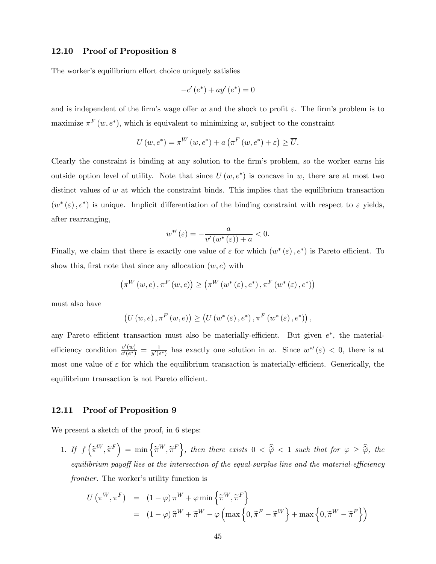## 12.10 Proof of Proposition 8

The worker's equilibrium effort choice uniquely satisfies

$$
-c'(e^*) + ay'(e^*) = 0
$$

and is independent of the firm's wage offer w and the shock to profit  $\varepsilon$ . The firm's problem is to maximize  $\pi^F(w, e^*)$ , which is equivalent to minimizing w, subject to the constraint

$$
U(w, e^*) = \pi^W(w, e^*) + a\left(\pi^F(w, e^*) + \varepsilon\right) \ge \overline{U}.
$$

Clearly the constraint is binding at any solution to the firm's problem, so the worker earns his outside option level of utility. Note that since  $U(w, e^*)$  is concave in w, there are at most two distinct values of  $w$  at which the constraint binds. This implies that the equilibrium transaction  $(w^*(\varepsilon), e^*)$  is unique. Implicit differentiation of the binding constraint with respect to  $\varepsilon$  yields, after rearranging,

$$
w^{*'}(\varepsilon) = -\frac{a}{v'(w^*(\varepsilon)) + a} < 0.
$$

Finally, we claim that there is exactly one value of  $\varepsilon$  for which  $(w^*(\varepsilon), e^*)$  is Pareto efficient. To show this, first note that since any allocation  $(w, e)$  with

$$
\left(\pi^{W}\left(w,e\right),\pi^{F}\left(w,e\right)\right) \geq \left(\pi^{W}\left(w^{*}\left(\varepsilon\right),e^{*}\right),\pi^{F}\left(w^{*}\left(\varepsilon\right),e^{*}\right)\right)
$$

must also have

$$
\left(U\left(w,e\right),\pi^{F}\left(w,e\right)\right)\geq\left(U\left(w^{*}\left(\varepsilon\right),e^{*}\right),\pi^{F}\left(w^{*}\left(\varepsilon\right),e^{*}\right)\right),
$$

any Pareto efficient transaction must also be materially-efficient. But given  $e^*$ , the materialefficiency condition  $\frac{v'(w)}{c'(e^*)} = \frac{1}{y'(e^*)}$  has exactly one solution in w. Since  $w^{*\prime}(\varepsilon) < 0$ , there is at most one value of  $\varepsilon$  for which the equilibrium transaction is materially-efficient. Generically, the equilibrium transaction is not Pareto efficient.

#### 12.11 Proof of Proposition 9

We present a sketch of the proof, in 6 steps:

1. If  $f\left(\widetilde{\pi}^W, \widetilde{\pi}^F\right) = \min\left\{\widetilde{\pi}^W, \widetilde{\pi}^F\right\}$ , then there exists  $0 < \widehat{\widehat{\varphi}} < 1$  such that for  $\varphi \geq \widehat{\widehat{\varphi}}$ , the equilibrium payoff lies at the intersection of the equal-surplus line and the material-efficiency frontier. The worker's utility function is

$$
U(\pi^{W}, \pi^{F}) = (1 - \varphi) \pi^{W} + \varphi \min \{\tilde{\pi}^{W}, \tilde{\pi}^{F}\}
$$
  
=  $(1 - \varphi) \tilde{\pi}^{W} + \tilde{\pi}^{W} - \varphi \left( \max \left\{ 0, \tilde{\pi}^{F} - \tilde{\pi}^{W} \right\} + \max \left\{ 0, \tilde{\pi}^{W} - \tilde{\pi}^{F} \right\} \right)$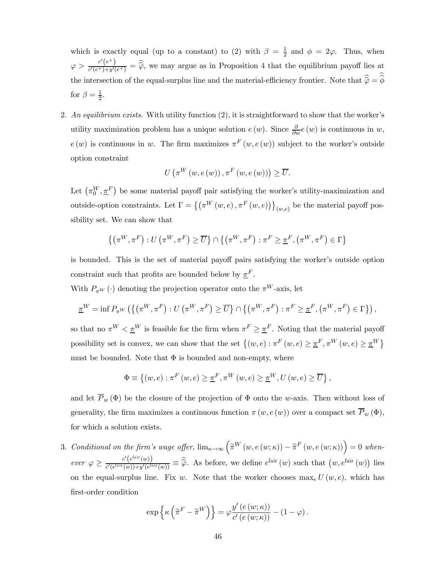which is exactly equal (up to a constant) to (2) with  $\beta = \frac{1}{2}$  and  $\phi = 2\varphi$ . Thus, when  $\varphi > \frac{c'(e^+)}{c'(e^+)+y'(e^+)} = \widehat{\varphi}$ , we may argue as in Proposition 4 that the equilibrium payoff lies at the intersection of the equal-surplus line and the material-efficiency frontier. Note that  $\hat{\varphi} = \phi$ for  $\beta = \frac{1}{2}$ .

2. An equilibrium exists. With utility function (2), it is straightforward to show that the worker's utility maximization problem has a unique solution  $e(w)$ . Since  $\frac{\partial}{\partial w}e(w)$  is continuous in w,  $e(w)$  is continuous in w. The firm maximizes  $\pi^F(w, e(w))$  subject to the worker's outside option constraint

$$
U\left(\pi^{W}\left(w,e\left(w\right)\right),\pi^{F}\left(w,e\left(w\right)\right)\right)\geq\overline{U}.
$$

Let  $(\pi_0^W, \pi^F)$  be some material payoff pair satisfying the worker's utility-maximization and outside-option constraints. Let  $\Gamma = \{ (\pi^W(w, e), \pi^F(w, e)) \}_{(w, e)}$  be the material payoff possibility set. We can show that

$$
\{(\pi^W, \pi^F) : U(\pi^W, \pi^F) \ge \overline{U}\} \cap \{(\pi^W, \pi^F) : \pi^F \ge \underline{\pi}^F, (\pi^W, \pi^F) \in \Gamma\}
$$

is bounded. This is the set of material payoff pairs satisfying the worker's outside option constraint such that profits are bounded below by  $\pi^F$ .

With  $P_{\pi^W}(\cdot)$  denoting the projection operator onto the  $\pi^W$ -axis, let

$$
\underline{\pi}^W = \inf P_{\pi^W} \left( \left\{ \left( \pi^W, \pi^F \right) : U \left( \pi^W, \pi^F \right) \ge \overline{U} \right\} \cap \left\{ \left( \pi^W, \pi^F \right) : \pi^F \ge \underline{\pi}^F, \left( \pi^W, \pi^F \right) \in \Gamma \right\} \right),
$$

so that no  $\pi^W < \underline{\pi}^W$  is feasible for the firm when  $\pi^F \geq \underline{\pi}^F$ . Noting that the material payoff possibility set is convex, we can show that the set  $\{(w, e) : \pi^F(w, e) \geq \pi^F, \pi^W(w, e) \geq \pi^W\}$ must be bounded. Note that  $\Phi$  is bounded and non-empty, where

$$
\Phi \equiv \left\{ (w, e) : \pi^{F} (w, e) \geq \underline{\pi}^{F}, \pi^{W} (w, e) \geq \underline{\pi}^{W}, U(w, e) \geq \overline{U} \right\},\
$$

and let  $\overline{P}_w(\Phi)$  be the closure of the projection of  $\Phi$  onto the w-axis. Then without loss of generality, the firm maximizes a continuous function  $\pi(w, e(w))$  over a compact set  $\overline{P}_w(\Phi)$ , for which a solution exists.

3. Conditional on the firm's wage offer,  $\lim_{\kappa \to \infty} (\tilde{\pi}^W(w, e(w; \kappa)) - \tilde{\pi}^F(w, e(w; \kappa))) = 0$  when- $\text{ever} \varphi \geq \frac{c'(e^{\text{fair}}(w))}{c'(e^{\text{fair}}(w)) + y'(e^{\text{fa}})}$  $\frac{c'(e^{an}(w))}{c'(e^{fair}(w))+y'(e^{fair}(w))} \equiv \hat{\hat{\varphi}}$ . As before, we define  $e^{fair}(w)$  such that  $(w, e^{fair}(w))$  lies on the equal-surplus line. Fix w. Note that the worker chooses  $\max_e U(w, e)$ , which has first-order condition

$$
\exp\left\{\kappa\left(\widetilde{\pi}^F-\widetilde{\pi}^W\right)\right\}=\varphi\frac{y'\left(e\left(w;\kappa\right)\right)}{c'\left(e\left(w;\kappa\right)\right)}-(1-\varphi).
$$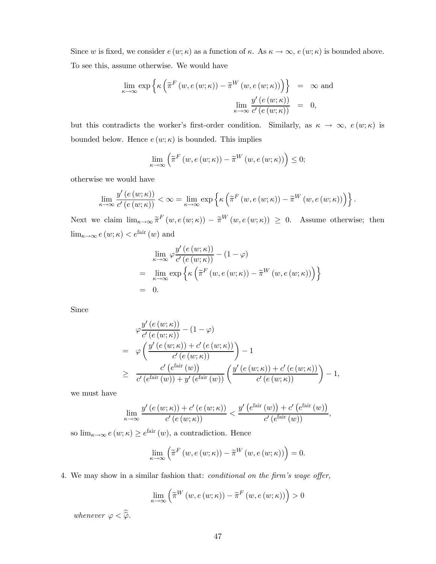Since w is fixed, we consider  $e(w;\kappa)$  as a function of  $\kappa$ . As  $\kappa \to \infty$ ,  $e(w;\kappa)$  is bounded above. To see this, assume otherwise. We would have

$$
\lim_{\kappa \to \infty} \exp \left\{ \kappa \left( \widetilde{\pi}^F \left( w, e \left( w; \kappa \right) \right) - \widetilde{\pi}^W \left( w, e \left( w; \kappa \right) \right) \right) \right\} = \infty \text{ and}
$$
\n
$$
\lim_{\kappa \to \infty} \frac{y' \left( e \left( w; \kappa \right) \right)}{c' \left( e \left( w; \kappa \right) \right)} = 0,
$$

but this contradicts the worker's first-order condition. Similarly, as  $\kappa \to \infty$ ,  $e(w;\kappa)$  is bounded below. Hence  $e(w; \kappa)$  is bounded. This implies

$$
\lim_{\kappa \to \infty} \left( \widetilde{\pi}^F \left( w, e \left( w; \kappa \right) \right) - \widetilde{\pi}^W \left( w, e \left( w; \kappa \right) \right) \right) \le 0;
$$

otherwise we would have

$$
\lim_{\kappa \to \infty} \frac{y'(e(w;\kappa))}{c'(e(w;\kappa))} < \infty = \lim_{\kappa \to \infty} \exp \left\{ \kappa \left( \widetilde{\pi}^F(w,e(w;\kappa)) - \widetilde{\pi}^W(w,e(w;\kappa)) \right) \right\}.
$$

Next we claim  $\lim_{\kappa \to \infty} \tilde{\pi}^F(w, e(w; \kappa)) - \tilde{\pi}^W(w, e(w; \kappa)) \geq 0$ . Assume otherwise; then  $\lim_{\kappa \to \infty} e(w; \kappa) < e^{\text{fair}}(w)$  and

$$
\lim_{\kappa \to \infty} \varphi \frac{y'(e(w;\kappa))}{c'(e(w;\kappa))} - (1 - \varphi)
$$
\n
$$
= \lim_{\kappa \to \infty} \exp \left\{ \kappa \left( \widetilde{\pi}^F(w, e(w;\kappa)) - \widetilde{\pi}^W(w, e(w;\kappa)) \right) \right\}
$$
\n
$$
= 0.
$$

Since

$$
\varphi \frac{y'(e(w;\kappa))}{c'(e(w;\kappa))} - (1-\varphi)
$$
  
=  $\varphi \left( \frac{y'(e(w;\kappa)) + c'(e(w;\kappa))}{c'(e(w;\kappa))} \right) - 1$   
 $\geq \frac{c'(e^{\text{fair}}(w))}{c'(e^{\text{fair}}(w)) + y'(e^{\text{fair}}(w))} \left( \frac{y'(e(w;\kappa)) + c'(e(w;\kappa))}{c'(e(w;\kappa))} \right) - 1,$ 

we must have

$$
\lim_{\kappa \to \infty} \frac{y'\left(e\left(w;\kappa\right)\right)+c'\left(e\left(w;\kappa\right)\right)}{c'\left(e\left(w;\kappa\right)\right)} < \frac{y'\left(e^{\text{fair}}\left(w\right)\right)+c'\left(e^{\text{fair}}\left(w\right)\right)}{c'\left(e^{\text{fair}}\left(w\right)\right)},
$$

so  $\lim_{\kappa \to \infty} e(w;\kappa) \geq e^{\text{fair}}(w)$ , a contradiction. Hence

$$
\lim_{\kappa \to \infty} \left( \tilde{\pi}^F \left( w, e \left( w; \kappa \right) \right) - \tilde{\pi}^W \left( w, e \left( w; \kappa \right) \right) \right) = 0.
$$

4. We may show in a similar fashion that: conditional on the firm's wage offer,

$$
\lim_{\kappa \to \infty} \left( \widetilde{\pi}^W \left( w, e \left( w; \kappa \right) \right) - \widetilde{\pi}^F \left( w, e \left( w; \kappa \right) \right) \right) > 0
$$

whenever  $\varphi < \widehat{\varphi}$ .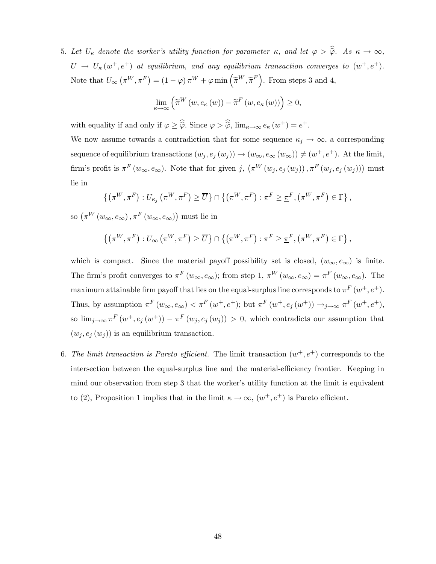5. Let  $U_{\kappa}$  denote the worker's utility function for parameter κ, and let  $\varphi > \hat{\varphi}$ . As  $\kappa \to \infty$ ,  $U \rightarrow U_{\kappa}(w^+, e^+)$  at equilibrium, and any equilibrium transaction converges to  $(w^+, e^+)$ . Note that  $U_{\infty}(\pi^W, \pi^F) = (1 - \varphi) \pi^W + \varphi \min\left(\widetilde{\pi}^W, \widetilde{\pi}^F\right)$ . From steps 3 and 4,

$$
\lim_{\kappa \to \infty} \left( \widetilde{\pi}^{W} \left( w, e_{\kappa} \left( w \right) \right) - \widetilde{\pi}^{F} \left( w, e_{\kappa} \left( w \right) \right) \right) \geq 0,
$$

with equality if and only if  $\varphi \geq \widehat{\hat{\varphi}}$ . Since  $\varphi > \widehat{\hat{\varphi}}$ ,  $\lim_{\kappa \to \infty} e_{\kappa} (w^+) = e^+$ .

We now assume towards a contradiction that for some sequence  $\kappa_j \to \infty$ , a corresponding sequence of equilibrium transactions  $(w_j, e_j (w_j)) \to (w_\infty, e_\infty (w_\infty)) \neq (w^+, e^+)$ . At the limit, firm's profit is  $\pi^F(w_\infty, e_\infty)$ . Note that for given j,  $(\pi^W(w_j, e_j(w_j)), \pi^F(w_j, e_j(w_j)))$  must lie in

$$
\{(\pi^{W}, \pi^{F}) : U_{\kappa_j}(\pi^{W}, \pi^{F}) \geq \overline{U}\} \cap \{(\pi^{W}, \pi^{F}) : \pi^{F} \geq \underline{\pi}^{F}, (\pi^{W}, \pi^{F}) \in \Gamma\},\
$$

so  $(\pi^W(w_\infty, e_\infty), \pi^F(w_\infty, e_\infty))$  must lie in

$$
\left\{ \left( \pi^{W}, \pi^{F} \right) : U_{\infty} \left( \pi^{W}, \pi^{F} \right) \geq \overline{U} \right\} \cap \left\{ \left( \pi^{W}, \pi^{F} \right) : \pi^{F} \geq \underline{\pi}^{F}, \left( \pi^{W}, \pi^{F} \right) \in \Gamma \right\},\
$$

which is compact. Since the material payoff possibility set is closed,  $(w_{\infty}, e_{\infty})$  is finite. The firm's profit converges to  $\pi^F(w_\infty, e_\infty)$ ; from step 1,  $\pi^W(w_\infty, e_\infty) = \pi^F(w_\infty, e_\infty)$ . The maximum attainable firm payoff that lies on the equal-surplus line corresponds to  $\pi^F(w^+, e^+)$ . Thus, by assumption  $\pi^F(w_\infty, e_\infty) < \pi^F(w^+, e^+)$ ; but  $\pi^F(w^+, e_j(w^+)) \to_{j \to \infty} \pi^F(w^+, e^+)$ , so  $\lim_{j\to\infty} \pi^F(w^+, e_j(w^+)) - \pi^F(w_j, e_j(w_j)) > 0$ , which contradicts our assumption that  $(w_j, e_j(w_j))$  is an equilibrium transaction.

6. The limit transaction is Pareto efficient. The limit transaction  $(w^+, e^+)$  corresponds to the intersection between the equal-surplus line and the material-efficiency frontier. Keeping in mind our observation from step 3 that the worker's utility function at the limit is equivalent to (2), Proposition 1 implies that in the limit  $\kappa \to \infty$ ,  $(w^+, e^+)$  is Pareto efficient.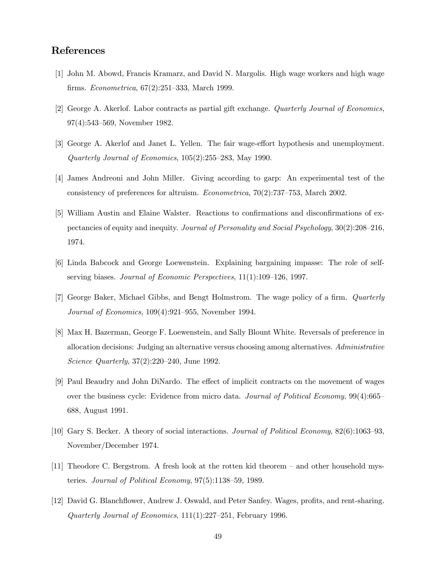# References

- [1] John M. Abowd, Francis Kramarz, and David N. Margolis. High wage workers and high wage firms. Econometrica, 67(2):251—333, March 1999.
- [2] George A. Akerlof. Labor contracts as partial gift exchange. Quarterly Journal of Economics, 97(4):543—569, November 1982.
- [3] George A. Akerlof and Janet L. Yellen. The fair wage-effort hypothesis and unemployment. Quarterly Journal of Economics, 105(2):255—283, May 1990.
- [4] James Andreoni and John Miller. Giving according to garp: An experimental test of the consistency of preferences for altruism. Econometrica, 70(2):737—753, March 2002.
- [5] William Austin and Elaine Walster. Reactions to confirmations and disconfirmations of expectancies of equity and inequity. Journal of Personality and Social Psychology, 30(2):208—216, 1974.
- [6] Linda Babcock and George Loewenstein. Explaining bargaining impasse: The role of selfserving biases. Journal of Economic Perspectives, 11(1):109—126, 1997.
- [7] George Baker, Michael Gibbs, and Bengt Holmstrom. The wage policy of a firm. Quarterly Journal of Economics, 109(4):921—955, November 1994.
- [8] Max H. Bazerman, George F. Loewenstein, and Sally Blount White. Reversals of preference in allocation decisions: Judging an alternative versus choosing among alternatives. Administrative Science Quarterly, 37(2):220—240, June 1992.
- [9] Paul Beaudry and John DiNardo. The effect of implicit contracts on the movement of wages over the business cycle: Evidence from micro data. Journal of Political Economy, 99(4):665— 688, August 1991.
- [10] Gary S. Becker. A theory of social interactions. Journal of Political Economy, 82(6):1063—93, November/December 1974.
- [11] Theodore C. Bergstrom. A fresh look at the rotten kid theorem and other household mysteries. Journal of Political Economy, 97(5):1138—59, 1989.
- [12] David G. Blanchflower, Andrew J. Oswald, and Peter Sanfey. Wages, profits, and rent-sharing. Quarterly Journal of Economics, 111(1):227—251, February 1996.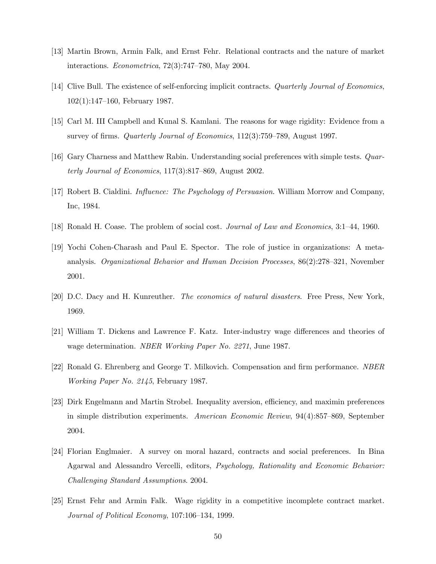- [13] Martin Brown, Armin Falk, and Ernst Fehr. Relational contracts and the nature of market interactions. Econometrica, 72(3):747—780, May 2004.
- [14] Clive Bull. The existence of self-enforcing implicit contracts. Quarterly Journal of Economics, 102(1):147—160, February 1987.
- [15] Carl M. III Campbell and Kunal S. Kamlani. The reasons for wage rigidity: Evidence from a survey of firms. Quarterly Journal of Economics, 112(3):759—789, August 1997.
- [16] Gary Charness and Matthew Rabin. Understanding social preferences with simple tests. Quarterly Journal of Economics, 117(3):817—869, August 2002.
- [17] Robert B. Cialdini. Influence: The Psychology of Persuasion. William Morrow and Company, Inc, 1984.
- [18] Ronald H. Coase. The problem of social cost. *Journal of Law and Economics*, 3:1–44, 1960.
- [19] Yochi Cohen-Charash and Paul E. Spector. The role of justice in organizations: A metaanalysis. Organizational Behavior and Human Decision Processes, 86(2):278—321, November 2001.
- [20] D.C. Dacy and H. Kunreuther. The economics of natural disasters. Free Press, New York, 1969.
- [21] William T. Dickens and Lawrence F. Katz. Inter-industry wage differences and theories of wage determination. NBER Working Paper No. 2271, June 1987.
- [22] Ronald G. Ehrenberg and George T. Milkovich. Compensation and firm performance. NBER Working Paper No. 2145, February 1987.
- [23] Dirk Engelmann and Martin Strobel. Inequality aversion, efficiency, and maximin preferences in simple distribution experiments. American Economic Review, 94(4):857—869, September 2004.
- [24] Florian Englmaier. A survey on moral hazard, contracts and social preferences. In Bina Agarwal and Alessandro Vercelli, editors, Psychology, Rationality and Economic Behavior: Challenging Standard Assumptions. 2004.
- [25] Ernst Fehr and Armin Falk. Wage rigidity in a competitive incomplete contract market. Journal of Political Economy, 107:106—134, 1999.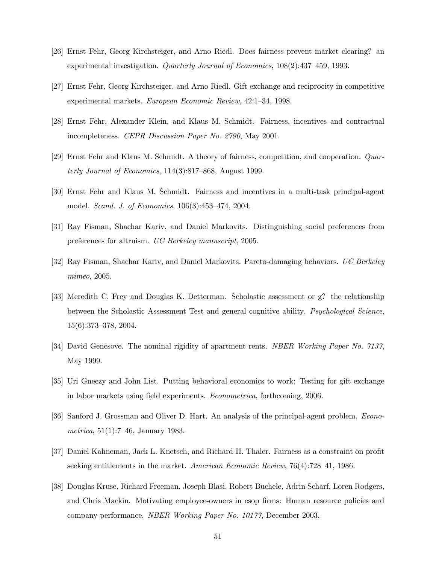- [26] Ernst Fehr, Georg Kirchsteiger, and Arno Riedl. Does fairness prevent market clearing? an experimental investigation. Quarterly Journal of Economics, 108(2):437—459, 1993.
- [27] Ernst Fehr, Georg Kirchsteiger, and Arno Riedl. Gift exchange and reciprocity in competitive experimental markets. European Economic Review, 42:1—34, 1998.
- [28] Ernst Fehr, Alexander Klein, and Klaus M. Schmidt. Fairness, incentives and contractual incompleteness. CEPR Discussion Paper No. 2790, May 2001.
- [29] Ernst Fehr and Klaus M. Schmidt. A theory of fairness, competition, and cooperation. Quarterly Journal of Economics, 114(3):817—868, August 1999.
- [30] Ernst Fehr and Klaus M. Schmidt. Fairness and incentives in a multi-task principal-agent model. Scand. J. of Economics, 106(3):453—474, 2004.
- [31] Ray Fisman, Shachar Kariv, and Daniel Markovits. Distinguishing social preferences from preferences for altruism. UC Berkeley manuscript, 2005.
- [32] Ray Fisman, Shachar Kariv, and Daniel Markovits. Pareto-damaging behaviors. UC Berkeley mimeo, 2005.
- [33] Meredith C. Frey and Douglas K. Detterman. Scholastic assessment or g? the relationship between the Scholastic Assessment Test and general cognitive ability. Psychological Science, 15(6):373—378, 2004.
- [34] David Genesove. The nominal rigidity of apartment rents. NBER Working Paper No. 7137, May 1999.
- [35] Uri Gneezy and John List. Putting behavioral economics to work: Testing for gift exchange in labor markets using field experiments. Econometrica, forthcoming, 2006.
- [36] Sanford J. Grossman and Oliver D. Hart. An analysis of the principal-agent problem. Econometrica, 51(1):7—46, January 1983.
- [37] Daniel Kahneman, Jack L. Knetsch, and Richard H. Thaler. Fairness as a constraint on profit seeking entitlements in the market. American Economic Review, 76(4):728—41, 1986.
- [38] Douglas Kruse, Richard Freeman, Joseph Blasi, Robert Buchele, Adrin Scharf, Loren Rodgers, and Chris Mackin. Motivating employee-owners in esop firms: Human resource policies and company performance. NBER Working Paper No. 10177, December 2003.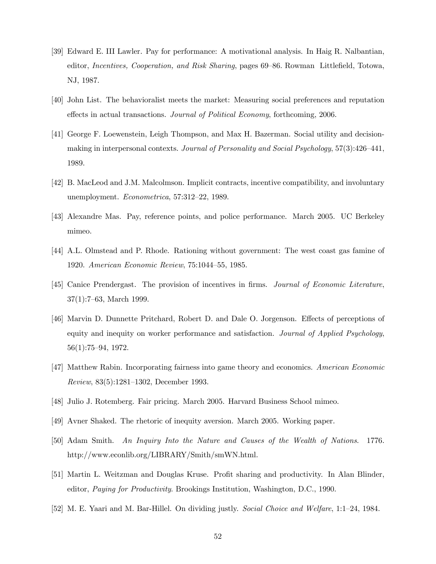- [39] Edward E. III Lawler. Pay for performance: A motivational analysis. In Haig R. Nalbantian, editor, Incentives, Cooperation, and Risk Sharing, pages 69—86. Rowman Littlefield, Totowa, NJ, 1987.
- [40] John List. The behavioralist meets the market: Measuring social preferences and reputation effects in actual transactions. Journal of Political Economy, forthcoming, 2006.
- [41] George F. Loewenstein, Leigh Thompson, and Max H. Bazerman. Social utility and decisionmaking in interpersonal contexts. Journal of Personality and Social Psychology, 57(3):426–441, 1989.
- [42] B. MacLeod and J.M. Malcolmson. Implicit contracts, incentive compatibility, and involuntary unemployment. Econometrica, 57:312—22, 1989.
- [43] Alexandre Mas. Pay, reference points, and police performance. March 2005. UC Berkeley mimeo.
- [44] A.L. Olmstead and P. Rhode. Rationing without government: The west coast gas famine of 1920. American Economic Review, 75:1044—55, 1985.
- [45] Canice Prendergast. The provision of incentives in firms. Journal of Economic Literature, 37(1):7—63, March 1999.
- [46] Marvin D. Dunnette Pritchard, Robert D. and Dale O. Jorgenson. Effects of perceptions of equity and inequity on worker performance and satisfaction. Journal of Applied Psychology, 56(1):75—94, 1972.
- [47] Matthew Rabin. Incorporating fairness into game theory and economics. American Economic Review, 83(5):1281—1302, December 1993.
- [48] Julio J. Rotemberg. Fair pricing. March 2005. Harvard Business School mimeo.
- [49] Avner Shaked. The rhetoric of inequity aversion. March 2005. Working paper.
- [50] Adam Smith. An Inquiry Into the Nature and Causes of the Wealth of Nations. 1776. http://www.econlib.org/LIBRARY/Smith/smWN.html.
- [51] Martin L. Weitzman and Douglas Kruse. Profit sharing and productivity. In Alan Blinder, editor, Paying for Productivity. Brookings Institution, Washington, D.C., 1990.
- [52] M. E. Yaari and M. Bar-Hillel. On dividing justly. Social Choice and Welfare, 1:1—24, 1984.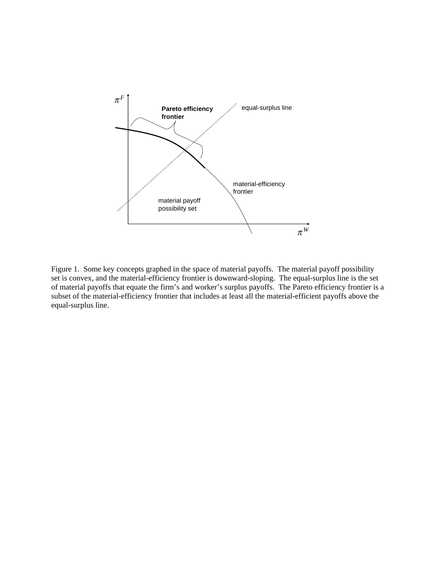

Figure 1. Some key concepts graphed in the space of material payoffs. The material payoff possibility set is convex, and the material-efficiency frontier is downward-sloping. The equal-surplus line is the set of material payoffs that equate the firm's and worker's surplus payoffs. The Pareto efficiency frontier is a subset of the material-efficiency frontier that includes at least all the material-efficient payoffs above the equal-surplus line.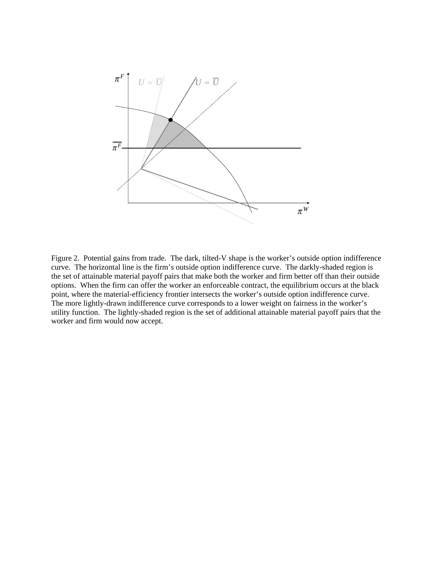

Figure 2. Potential gains from trade. The dark, tilted-V shape is the worker's outside option indifference curve. The horizontal line is the firm's outside option indifference curve. The darkly-shaded region is the set of attainable material payoff pairs that make both the worker and firm better off than their outside options. When the firm can offer the worker an enforceable contract, the equilibrium occurs at the black point, where the material-efficiency frontier intersects the worker's outside option indifference curve. The more lightly-drawn indifference curve corresponds to a lower weight on fairness in the worker's utility function. The lightly-shaded region is the set of additional attainable material payoff pairs that the worker and firm would now accept.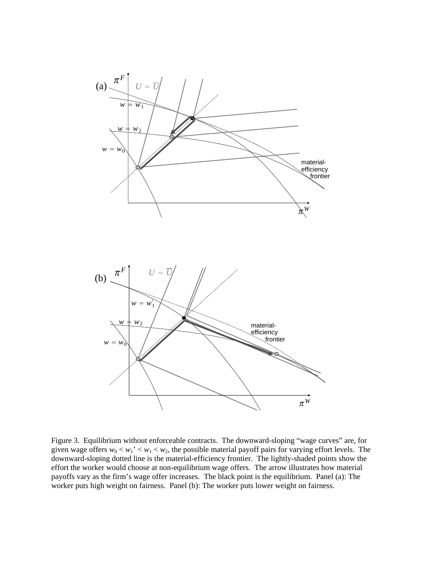

Figure 3. Equilibrium without enforceable contracts. The downward-sloping "wage curves" are, for given wage offers  $w_0 < w_1' < w_1 < w_2$ , the possible material payoff pairs for varying effort levels. The downward-sloping dotted line is the material-efficiency frontier. The lightly-shaded points show the effort the worker would choose at non-equilibrium wage offers. The arrow illustrates how material payoffs vary as the firm's wage offer increases. The black point is the equilibrium. Panel (a): The worker puts high weight on fairness. Panel (b): The worker puts lower weight on fairness.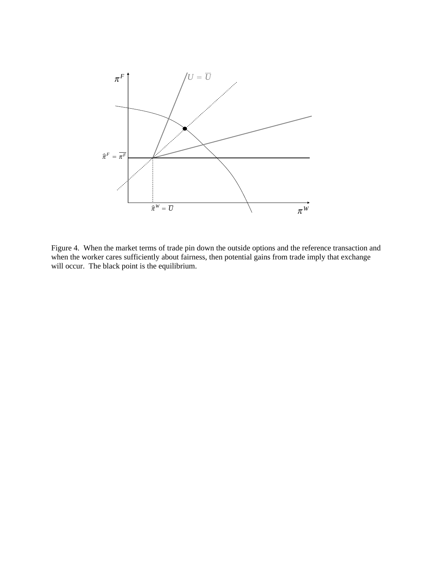

Figure 4. When the market terms of trade pin down the outside options and the reference transaction and when the worker cares sufficiently about fairness, then potential gains from trade imply that exchange will occur. The black point is the equilibrium.